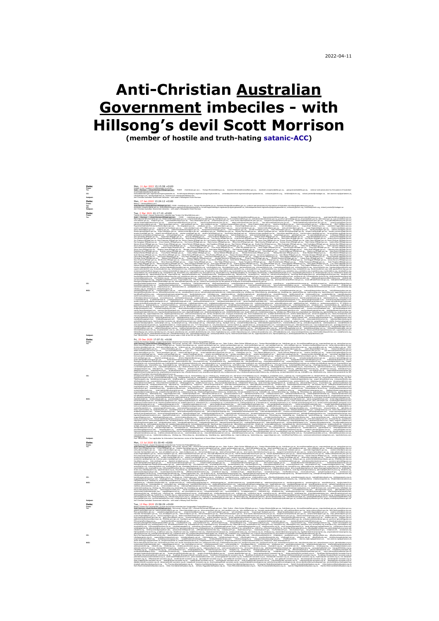# **Anti-Christian Australian Government imbeciles - with Hillsong's devil Scott Morrison**

**(member of hostile and truth-hating [satanic-ACC\)](https://www.acc.org.au/)**

| Date:<br><sup>From:</sup><br><sup>To:</sup> | Mon, 11 Apr 2022 15:15:58 +01.00<br>SML Memm : Gdalkeman/Millellightain, 1702. «Խենաշատ», Presp.Monethiagam, Hasket-Natellightain, American School<br>- March - March (1899), 2004. Programma in the Company of March 1999. Program                                                                                                                                                                                                                                                 |
|---------------------------------------------|-------------------------------------------------------------------------------------------------------------------------------------------------------------------------------------------------------------------------------------------------------------------------------------------------------------------------------------------------------------------------------------------------------------------------------------------------------------------------------------|
| œ                                           | övehefalmisautjava<br>sinnienningungintellepriodenika, fonbingundringungiratolepriodenika, utladeptenettapintellepriodenika, orkonfylobran, tokinklobran, toki medifolologu, ku samenningunameluk<br>höfongunun medipilomenu mediri                                                                                                                                                                                                                                                 |
| Subject:                                    |                                                                                                                                                                                                                                                                                                                                                                                                                                                                                     |
| Date:                                       | Mon, 17 Jan 2021 13:24:12 +0100<br>Blay I directed News William Commissions on Form Monthlet and American Monthlet and an views of emails to the state doctor interference from the state of the state of the state of the state                                                                                                                                                                                                                                                    |
| From<br>To:<br>CC:<br>Subj                  |                                                                                                                                                                                                                                                                                                                                                                                                                                                                                     |
| Date:                                       | Tue, 2 Mar 2021 01:17:10 +0100                                                                                                                                                                                                                                                                                                                                                                                                                                                      |
|                                             |                                                                                                                                                                                                                                                                                                                                                                                                                                                                                     |
|                                             |                                                                                                                                                                                                                                                                                                                                                                                                                                                                                     |
|                                             |                                                                                                                                                                                                                                                                                                                                                                                                                                                                                     |
|                                             |                                                                                                                                                                                                                                                                                                                                                                                                                                                                                     |
|                                             |                                                                                                                                                                                                                                                                                                                                                                                                                                                                                     |
|                                             |                                                                                                                                                                                                                                                                                                                                                                                                                                                                                     |
|                                             |                                                                                                                                                                                                                                                                                                                                                                                                                                                                                     |
|                                             |                                                                                                                                                                                                                                                                                                                                                                                                                                                                                     |
|                                             |                                                                                                                                                                                                                                                                                                                                                                                                                                                                                     |
|                                             |                                                                                                                                                                                                                                                                                                                                                                                                                                                                                     |
|                                             |                                                                                                                                                                                                                                                                                                                                                                                                                                                                                     |
|                                             |                                                                                                                                                                                                                                                                                                                                                                                                                                                                                     |
|                                             |                                                                                                                                                                                                                                                                                                                                                                                                                                                                                     |
|                                             |                                                                                                                                                                                                                                                                                                                                                                                                                                                                                     |
|                                             |                                                                                                                                                                                                                                                                                                                                                                                                                                                                                     |
|                                             |                                                                                                                                                                                                                                                                                                                                                                                                                                                                                     |
|                                             |                                                                                                                                                                                                                                                                                                                                                                                                                                                                                     |
|                                             |                                                                                                                                                                                                                                                                                                                                                                                                                                                                                     |
|                                             |                                                                                                                                                                                                                                                                                                                                                                                                                                                                                     |
|                                             |                                                                                                                                                                                                                                                                                                                                                                                                                                                                                     |
|                                             |                                                                                                                                                                                                                                                                                                                                                                                                                                                                                     |
|                                             |                                                                                                                                                                                                                                                                                                                                                                                                                                                                                     |
|                                             |                                                                                                                                                                                                                                                                                                                                                                                                                                                                                     |
|                                             |                                                                                                                                                                                                                                                                                                                                                                                                                                                                                     |
|                                             |                                                                                                                                                                                                                                                                                                                                                                                                                                                                                     |
| Date:<br>rrom:<br><sup>To:</sup>            | Fri. 25 Dec 2020 17:07:51 +0100                                                                                                                                                                                                                                                                                                                                                                                                                                                     |
|                                             |                                                                                                                                                                                                                                                                                                                                                                                                                                                                                     |
|                                             |                                                                                                                                                                                                                                                                                                                                                                                                                                                                                     |
|                                             |                                                                                                                                                                                                                                                                                                                                                                                                                                                                                     |
|                                             |                                                                                                                                                                                                                                                                                                                                                                                                                                                                                     |
|                                             |                                                                                                                                                                                                                                                                                                                                                                                                                                                                                     |
|                                             |                                                                                                                                                                                                                                                                                                                                                                                                                                                                                     |
|                                             |                                                                                                                                                                                                                                                                                                                                                                                                                                                                                     |
|                                             |                                                                                                                                                                                                                                                                                                                                                                                                                                                                                     |
|                                             |                                                                                                                                                                                                                                                                                                                                                                                                                                                                                     |
|                                             |                                                                                                                                                                                                                                                                                                                                                                                                                                                                                     |
|                                             |                                                                                                                                                                                                                                                                                                                                                                                                                                                                                     |
|                                             |                                                                                                                                                                                                                                                                                                                                                                                                                                                                                     |
|                                             |                                                                                                                                                                                                                                                                                                                                                                                                                                                                                     |
|                                             |                                                                                                                                                                                                                                                                                                                                                                                                                                                                                     |
|                                             |                                                                                                                                                                                                                                                                                                                                                                                                                                                                                     |
|                                             |                                                                                                                                                                                                                                                                                                                                                                                                                                                                                     |
|                                             |                                                                                                                                                                                                                                                                                                                                                                                                                                                                                     |
|                                             |                                                                                                                                                                                                                                                                                                                                                                                                                                                                                     |
|                                             | hello@gijn.org<br>Fwd: MR19/00354 - Your application for Information Com                                                                                                                                                                                                                                                                                                                                                                                                            |
|                                             |                                                                                                                                                                                                                                                                                                                                                                                                                                                                                     |
| Date:<br>rrom:<br><sup>To:</sup>            |                                                                                                                                                                                                                                                                                                                                                                                                                                                                                     |
|                                             |                                                                                                                                                                                                                                                                                                                                                                                                                                                                                     |
|                                             |                                                                                                                                                                                                                                                                                                                                                                                                                                                                                     |
|                                             |                                                                                                                                                                                                                                                                                                                                                                                                                                                                                     |
|                                             |                                                                                                                                                                                                                                                                                                                                                                                                                                                                                     |
|                                             |                                                                                                                                                                                                                                                                                                                                                                                                                                                                                     |
|                                             |                                                                                                                                                                                                                                                                                                                                                                                                                                                                                     |
|                                             |                                                                                                                                                                                                                                                                                                                                                                                                                                                                                     |
|                                             |                                                                                                                                                                                                                                                                                                                                                                                                                                                                                     |
|                                             |                                                                                                                                                                                                                                                                                                                                                                                                                                                                                     |
|                                             |                                                                                                                                                                                                                                                                                                                                                                                                                                                                                     |
|                                             | $\label{eq:2} \begin{minipage}[t]{0.01\textwidth} \begin{minipage}[t]{0.01\textwidth} \begin{minipage}[t]{0.01\textwidth} \begin{minipage}[t]{0.01\textwidth} \begin{minipage}[t]{0.01\textwidth} \begin{minipage}[t]{0.01\textwidth} \begin{minipage}[t]{0.01\textwidth} \begin{minipage}[t]{0.01\textwidth} \begin{minipage}[t]{0.01\textwidth} \begin{minipage}[t]{0.01\textwidth} \begin{minipage}[t]{0.01\textwidth} \begin{minipage}[t]{0.01\textwidth} \begin{minipage}[t]{$ |
| Date:<br>From:<br>To:                       | Tue, 12 May 2020 15:58:29 +0100                                                                                                                                                                                                                                                                                                                                                                                                                                                     |
|                                             |                                                                                                                                                                                                                                                                                                                                                                                                                                                                                     |
|                                             |                                                                                                                                                                                                                                                                                                                                                                                                                                                                                     |
|                                             |                                                                                                                                                                                                                                                                                                                                                                                                                                                                                     |
|                                             |                                                                                                                                                                                                                                                                                                                                                                                                                                                                                     |
|                                             |                                                                                                                                                                                                                                                                                                                                                                                                                                                                                     |
|                                             |                                                                                                                                                                                                                                                                                                                                                                                                                                                                                     |
|                                             |                                                                                                                                                                                                                                                                                                                                                                                                                                                                                     |
|                                             |                                                                                                                                                                                                                                                                                                                                                                                                                                                                                     |
|                                             |                                                                                                                                                                                                                                                                                                                                                                                                                                                                                     |
|                                             |                                                                                                                                                                                                                                                                                                                                                                                                                                                                                     |
|                                             |                                                                                                                                                                                                                                                                                                                                                                                                                                                                                     |
|                                             |                                                                                                                                                                                                                                                                                                                                                                                                                                                                                     |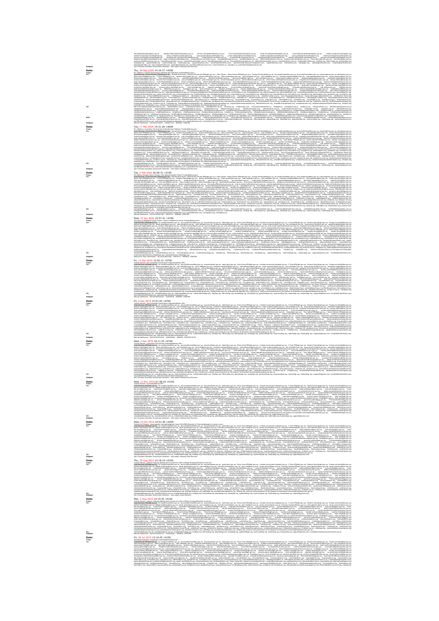WILAdam Blambethoalace.cop.uk. Isabelle.Hamley/Blambethoalace.org.uk. Simon.Lewis/Blambethoalace.org.uk. Chris.Russell/Blambethoalace.org.uk. Sarah.Snyder/Blambethoalace.org.uk. James.Megoran/Blambethoalace.org.uk. ilmes.M malcolm.brown@churchofengland.org, beoky.clark@churchofengland.org, nigel.genders@churchofengland.org, julian.hubbard@churchofengland.org, stephen.slack@churchofengland.org, jacqui.philips@churchofengland.org, andrew/.brow jeremy.worthen@churchofengland.org, jonathan.neil-smith@churchofengland.org, HHigton@cofe-worcester.org.uk, mcarter@cofe-worcester.org.uk, safeguarding@churchofengland.org, alastair.callcutt@churchofengland.org, georgina.morgan@lambethpalace.org.uk, klaub@ap.org, jgambrell@ap.org, mperrone@ap.org, leaston@ap.org, support@apnews.com, tom@RealClearPolitics.com, submissions@realclearinvestigations.com, tips@rebelnews.com, contact@icij.org, hello@gijn.org, vantips@postmedia.com, rroberts@postmedia.com, klibin@postmedia.com, hmunro@postmedia.com, gclark@postmedia.com, provletters@theprovince.com, newsonline@ctv.ca, news@ctv.ca, publiceditor@globeandmail.com **Subject:** Anti-Christian Australian Government imbeciles - with satan's Hillsong Scott Morrison. **Date:** Thu, 26 Mar 2020 14:18:37 +0000 **From:** Mr. Fabulous <Aussie-Government-imbeciles-ban-Fabulous-Torsten@blimey.pm> **To:** Scott Morrison <Scott.Morrison.MP@aph.gov.au>, Michael McCormack <Michael.McCormack.MP@aph.gov.au>, Peter Dutton <Peter.Dutton.MP@aph.gov.au>, Foreign.Minister@dfat.gov.au, foi.nsw@homeaffairs.gov.au, anju.jha@homeaffairs.gov.au, enquiries@oaic.gov.au, admin@oni.gov.au, Steve.Irons.MP@aph.gov.au, C.Pyne.MP@aph.gov.au, Senator.Payne@aph.gov.au, gerard.martin@pmc.gov.au, alison.green@pmc.gov.au, yael.cass@pmc.gov.au, john.reid@pmc.gov.au, brendan.macdowell@pmc.gov.au, cath.patterson@pmc.gov.au, tanja.cvijanovic@pmc.gov.au, angeline.leung@churchofengland.org, casey.chick@churchofengland.org, reception@cofe-worcester.org.uk, newsdesk@theage.com.au, news@heraldsun.com.au, nathaniel.bane@news.com.au, matthew.johnston@news.com.au, fiona.sexton@news.com.au, comments@sbs.com.au, newsroom@dailyexaminer.com.au, online@theaustralian.com.au, mahers@theaustralian.com.au, kellyj@theaustralian.com.au, thomash@theaustralian.com.au, letters@theaustralian.com.au, newsdesk@smh.com.au, mediarelations@ap.org, info@ap.org, RNixon@ap.org, pbanda@ap.org,

Nokhenadiptop.com, "парфейресции, самой-фрейресом, отдельно и преподразом, пользования и празывающей подразом, распользования и пользования и пользования и пользования и пользования и пользования и пользования и пользован committee.repelleph.cov.au. bronwm.clern.repelleph.cov.au. derk.sen@aph.pov.au. decclerk.sen@aph.cov.au. ca.committees.sen@aph.pov.au. seniorclerk.committees.sen@aph.cov.au. framceminister@finance.cov.au. ruth.cid@oni.cov. publicinterestdisclosure@pmc.gov.au, HR@Help.pmc.gov.au, fraud@pmc.gov.au, derk.xem@aph.gov.au, depclerk.xem@aph.gov.au, eVisitor.Nelpdesk@border.gov.au, Assistant.Minister@homeaffairs.gov.au, eVisitor.Helpdesk@homeaffairs ombudaman@orrbudaman.gov.au, governor-general@gq.gov.au, FOIcortactofficer@gg.gov.au, sanah.bamford@humanrights.gov.au, Rania.Spocner@humanrights.gov.au, infoservice@humanrights.gov.au, complaintsinfo@humanrights.gov.au, a niedokonische der Mangelenden in England und der Antikelnen in der Antikelnen in der England in der Antikelnen<br>Der Antikelnen der Antikelnen der Regission der Regission in der Antikelnen der Antikelnen in der Antikelnen d<br> on-Sydneystromenter.com kedribbenzus, publication, hydrogen, hydrogen, monography, hydrogen, upper state of the<br>https://www.assigneed.com/interference/interference/interference/interference/interference/interference/interf maidhicala, informai, isighydari. Isabita, indentificat, indentificat, indentification, indentification, income<br>- San Andreas Andreas Andreas Andreas Andreas Andreas Andreas Andreas Andreas Andreas Andreas Andreas Andreas<br>

## **Date:** Tue, 17 Mar 2020 19:31:26 +0000 **From:**  $\frac{1}{2}$  **May 120 and the material computation of the state of the state of the state of the state of the state of the state of the state of the state of the state of the state of the state of the state of the state**

**Subject:** Refusal Notification - BCC2020/316031 - 2065637761 - NENZEN, TORSTEN

**Subject:** Anti-Christian Australian Government imbeciles - with satan's Hillsong Scott Morrison.

tom@RealClearPolitics.com, submissions@realclearinvestigations.com, tips@rebelnews.com, contact@icij.org, hello@gijn.org

Steve Irons MPB aph.gov.au, C.Pyres MPB aph.gov.au, Senator, Paymell aph.gov.au, exard martinili crec.gov.au, alson.green@omc.gov.au, teat,callEcrec.gov.au, tohn.reid@omc.gov.au, tohn.reid@omc.gov.au, tohn.reid@omc.gov.au, Nick.Newhouse@pmc.gov.au, fiona.graham@pmc.gov.au, cassandra.gligora@pmc.gov.au, christine.duke@pmc.gov.au, kerry.percival@pmc.gov.au, bev.sims@pmc.gov.au, maya.stuart-fox@pmc.gov.au, abigail.bradshaw@pmc.gov.au, jasminder.higgins@pmc.gov.au, caroline.millar@pmc.gov.au, maureen.harrison@pmc.gov.au, suzy.arnold@pmc.gov.au, sean.choi@pmc.gov.au, emma.fooks@pmc.gov.au, david.williamson@pmc.gov.au, anne-marie.roberts@network.pmc.gov.au, margaret.horton@network.pmc.gov.au, tamara.harbus@pmc.gov.au, andy.johnston@pmc.gov.au, susan.fitzgerald@pmc.gov.au, Jessica.ranjit@pmc.gov.au, deidre.hassett@network.pmc.gov.au, kira.kudinoff@network.pmc.gov.au, marnie.wettenhall@network.pmc.gov.au, richard.aspinall@network.pmc.gov.au, andrew.hewitt@network.pmc.gov.au, debbii.miller@network.pmc.gov.au, leon.donovan@network.pmc.gov.au, gavin.dimond@pmc.gov.au, andrew.lalor@pmc.gov.au, sevda.hadziahmetovic@network.pmc.gov.au, media@pmc.gov.au, Tony.Abbott.MP@aph.gov.au, David.Coleman.MP@aph.gov.au, senator.ryan@aph.gov.au, sestabilih japan japan keelestabilih japan japan japan japan japan japan japan japan japan japan japan japan japan japan japan japan japan japan japan japan japan japan japan japan japan japan japan japan japan japan japan publicinterestdisclosure@pmc.gov.au, HR@Help.pmc.gov.au, fraud@pmc.gov.au, derk.sen@aph.gov.au, depclerk.sen@aph.gov.au, 4Visitor.Nelplersk@border.gov.au, Assistant.Minister@homeaffalm.gov.au, eVisitor.Helpdesk@bomeaffalm. ombudeman@orrbudeman.cov.au. opverno-general@gs.gov.au. FQIcortactofficer@gs.gov.au. sanah.bamford@humanrights.gov.au. Raria.Spocner@humanrights.gov.au. infoservice@humanrights.gov.au. complaintsidio@humanrights.gov.au. al assistantfinanominister@finance.gov.au, hotine@ndicnalsecurity.gov.au, EmergencyManagement.Minister@homeaffalm.gov.au, rcolville@ohchr.org, mhurtado@ohchr.org, jilaurence@ohchr.org, ethrosseli@chdr.org, mosariodescuza@ohdr freedom ofreikska Blakchr.org. urgent-action/Blakchr.org. civilagaiety/Blakchr.org. InfoDesk/Blakchr.org. http://eduk.php/eduk.php/eduk.php/eduk.php/ process/Blakchr.org. schwarb/Bhrw.org. schwarb/Bhrw.org. Nustralia/Bhrw. brazil@hnv.org, AuthorisedOfficer@cri.gov.au, info@hagueacademy.nl, scleve@law.columbia.edu, s.wilkins@doughtystneet.co.uk, r.baylise@doughtystneet.co.uk, info@humanism.org.uk, amno.hussain@parliament.uk, jacob.neesmogg.mp web@appgforb.org. odaustralia@od.org.au. enguine@od.org. opendocnca@odcan.org. info@pendocnc.de. info@pendocnc.de. info@penemeanch.org. editor@lif.eu. drthschimmacher@lif.eu. christofwayer@lif.eu. CR.PCbservatory@lif.eu. d терминулиалық телеринде телегененде желде желде, үтерминиптеген, терминиптеген желде желде желде желде желде же<br>«Аландар аландар желде желде желде желде желде желде желде желде желде желде желде желде желде желде желде же media@frc.org, info@hudson.org, violence-and-persecution-by-the-pastors-of-Australian-churches@nationalsecurity.gov.au newsdesk@theage.com.au, news@heraldsun.com.au, nathaniel.bane@news.com.au, matthew.johnston@news.com.au, forus.seoton@news.com.au, comments@sbs.com.au, newsroom@dailyexamtrer.com.au, online@theaustralian.com.au, mahera@the kellyiötheaustralian.com.au. thomashiltheaustralian.com.au. letters@theaustralian.com.au. mediavik@smN.com.au. mediavisions@ap.org. info@ap.org. phanda@ap.org. blanda@ap.org. toantos@tap.org. mperrone@ap.org. support@appew tom@RealClearPolitics.com, submissions@realclearinvestigations.com, tips@rebelnews.com, contact@icij.org, hello@gijn.org Date: <br>
Date: <br>
Date: <br>
Date: <br>
Date: <br>
Date: <br>
Date: <br>
Date: <br>
Date: <br>
Date: <br>
Date: <br>
Date: <br>
Date: <br>
Date: <br>
Date: <br>
Date: <br>
Date: <br>
Date: <br>
Date: <br>
Date: <br>
Date: <br>
Date: <br>
Date: <br>
Date: <br>
Date: <br>
Date: <br>
Date: <br>
Date:

Scott Morrison <Scott.Morrison.MP@agh.gov.au>, Mchael McCorrnack <Mchael.McCorrnack +P@agh.gov.au>, Peter Dutton <Peter.Dutton.MP@agh.gov.au>, Foreign.Meinter@dfat.gov.au, aft.man@homeaffairs.gov.au, anju.jha@homeaffairs.g

**From:**  $H = H$ **ideous-Royalty**<br>**From:** *Hi***ldeous-Royalty Prince-Torsten Construction: Construction: Torsten Construction: Torsten Construction: Torsten Construction: Torsten Torsten Construction: Torsten Torsten Construction:** To: Scott Morrison <Scott, Morrison, MP/Bagh.gov.au>, Mchael McCormack <Michael McCormack, MP/Bagh.gov.au>, Peter Cutton, MP/Bagh.gov.au>, Foreign, Minister/Edfat.gov.au, foi.naw@homeaffairs.gov.au, antu.tha@homeaffairs.go Steve.Intern.MP@aph.gov.au, C.Pyne.MP@aph.gov.au, Senator.Payne@aph.gov.au, gerand.martin@pmc.gov.au, alson.green@pmc.gov.au, yael.cass@pmc.gov.au, john.mid@pmc.gov.au, brendan.macdowell@pmc.gov.au, cath.patterson@pmc.gov. fons.graham@omc.gov.au. cassandra.gloom@omc.gov.au. christine.duke@omc.gov.au. kerry.percival@omc.gov.au. bev.aima@omc.gov.au. maya.stuart-fox@omc.gov.au. abigail.bradshaw@omc.gov.au. taxminder.higgins.gov.au. caroline.mil maureen.harrison@pmc.gov.au, suzy.amold@pmc.gov.au, eam.chol@pmc.gov.au, emma.fooks@pmc.gov.au, david.williamson@pmc.gov.au, anne-marie.roberts@netxork.pmc.gov.au, margaret.horton@network.pmc.gov.au, tamara.harbus@pmc.gov. susan.fitzgeraldfigmc.gov.au. Jessica.rantibiliomc.gov.au. deidre.hassett@network.pmc.gov.au. Kra.kudinoff@network.cmc.gov.au. mamie.wetterhall@network.cmc.gov.au. richard.aspinal@network.cmc.gov.au. andrew.hewitt@network. lean.donovan@network.pmc.gov.au, gavin.dimond@pmc.gov.au, andrew.lalor@pmc.gov.au, awda.hadziahmetovic@network.pmc.gov.au, media@pmc.gov.au, Tony.Abbott.MP@aph.gov.au, David.Coleman.MP@aph.gov.au, senator.ryan@aph.gov.au, senator.bushby@aph.gov.au. senator.comsen@aph.gov.au. senator.lexs@aph.gov.au. senator.reveolds@aph.gov.au. senator.worp@aph.gov.au. senator.farrel@aph.gov.au. david.eider.repe@aph.gov.au. clavessa.surtees.repe@aph.gov.au. bronwyn.glenn.reps@aph.gov.au, derk.sen@aph.gov.au, depderk.sen@aph.gov.au, ca.committees.sen@aph.gov.au, seriorclerk.committees.sen@aph.gov.au, fraenoeminister@finance.gov.au, ruth.cid@onl.gov.au, fol@pmc.gov.au, publicin fraud@cmc.pov.au. derk.xen@aph.pov.au. decderk.xen@aph.pov.au. eVisitor.Nelodesk@border.pov.au. Assistant.Minister@hormaeffairs.pov.au. eVisitor.Nelodesk@bormaeffairs.pov.au. media@hormaeffairs.pov.au. orbudsman@cmbudsman. FOIcontactofficer@gg.gov.au, sarah.bamford@humanrights.gov.au, Rania.Spooner@humanrights.gov.au, infoservice@humanrights.gov.au, complaints/nfo@humanrights.gov.au, alex.hawke.mp@aph.gov.au, assistantfinanceminister@finance EmergencyManagement.Minister@homeaffairs.gov.au, kolmone@ohchr.gog, rocky@e@ohchr.gog, mhurtado@ohchr.gog, faurence@ohchr.gog, ethrosse@Ohchr.gog, rosaniodesquza@ohchr.gog, cyllsociety@ohchr.gog, newyork@ohchr.gog, freedom action@ichichr.org, dv6sodety@ichichr.org, InfoDesk@ichic.org, hnwpress@hrw.org, schwads@hrw.org, blanm@hrw.org, kustralla@hrw.org, kooyy@hrw.org, wabwira@hrw.org, paris@hrw.org, zurich@hrw.org, bustil@hrw.org, hadvariagh. info@baqueacademy.nl. scieve@law.columbia.edu. s.wikins@doughtvatreet.co.uk. r.bavites@doughtvatreet.co.uk. info@humanism.org.uk. anno.hussain@garliament.uk. tacob.reesmoop.mp@garliament.uk. info@ilalamic-sharla.org. web@a odaustralia@od.org.au, enquire@od.org, opendoom.org, info@opendoom.de, info@pewreasarch.org, editor@lif.eu, dthschirmacher@lif.eu, christchause@lif.eu, CRJPCbservatory@lirl.eu, office@dobal-acholars.org, admin@dignityforev berkleycenter@georgetown.edu. persecutionrelle@gmal.com. admin@cwv.geg.uk. teffth@worldwatchmonitor.org. hyvoresa@hrw.ceg. blem@hrw.ceg. wabwira@hrw.ceg. wabwira@hrw.ceg. schwarb@hrw.ceg. media@uscirf.gov. dbashir@uscirf.g tmufford@uscirf.gov, klavery@uscirf.gov, info@ecol.net, acn@acnuk.org, international.secretariat.brussels@hrwf.net, f13nwws@editor.forum18.org, una@fonum-asia.org, info@forum-asia.org, info@forum-asia.org, info@forum-asia. info@sco.org.shananel@americansrogress.org.legalteam@americansportss.org.orggress.org.office@meconcern.org.orgs@humanrightsfirst.org.info@aavetheoersecutedchristians.org.info@cf.org.info@frc.org.info@husano.org.visience-an persecution-by-the-pastors-of-Australian-churches@nationalsecurity.gov.au presidentifitheson.com.au. news/heraldaun.com.au. nathanid.banelfnews.com.au. matthew.tohnston/fnews.com.au. fone.sexton/finews.com.au. comments/fishs.com.au. comments/fishs.com.au. mempoom/idal/wxamber.com.au. online/lith kellyiötheaustralian.com.au. thomashiltheaustralian.com.au. letters@theaustralian.com.au. newsdesk@amh.com.au. mediarelations@ap.org. info@ap.org. chanda@ap.org. klaub@ap.org. tambrell@ap.org. moernone@ap.org. support@appe tom@RealClearPolitics.com, submissions@realclearinvestigations.com, tips@rebelnews.com, contact@icij.org, hello@gijn.org **Subject:** Refusal Notification - BCC2019/6651466 - 55634714 - NENZEN, TORSTEN

## **Date:** Wed, 22 Jan 2020 19:57:21 +0700<br> **Date:** Wed, 22 Jan 2020 19:57:21 +0700<br> **The case of the property Prince Transportant Columnistics**

**From:** The Duke of Mediocrity Prince Torsten <Duke-of-Mediocrity-Prince-Torsten@blimey.pm> **To:** Scott.Morrison.MP@aph.gov.au, foi.nsw@homeaffairs.gov.au, anju.jha@homeaffairs.gov.au, enquiries@oaic.gov.au, admin@oni.gov.au, Steve.Irons.MP@aph.gov.au, michael.mccormack.mp@aph.gov.au, C.Pyne.MP@aph.gov.au, Senator.Payne@aph.gov.au, Foreign.minister@dfat.gov.au, gerard.martin@pmc.gov.au, alison.green@pmc.gov.au, yael.cass@pmc.gov.au, john.reid@pmc.gov.au, brendan.macdowell@pmc.gov.au, cath.patterson@pmc.gov.au, tanja.cvijanovic@pmc.gov.au, bev.sims@pmc.gov.au, maya.stuart-fox@pmc.gov.au, abigail.bradshaw@pmc.gov.au, jasminder.higgins@pmc.gov.au, caroline.millar@pmc.gov.au, maureen.harrison@pmc.gov.au, suzy.arnold@pmc.gov.au, emma.fooks@pmc.gov.au, david.williamson@pmc.gov.au, anne-marie.roberts@network.pmc.gov.au, margaret.horton@network.pmc.gov.au, tamara.harbus@pmc.gov.au, andy.johnston@pmc.gov.au, susan.fitzgerald@pmc.gov.au, Jessica.ranjit@pmc.gov.au, deidre.hassett@network.pmc.gov.au, kira.kudinoff@network.pmc.gov.au, marnie.wettenhall@network.pmc.gov.au, richard.aspinall@network.pmc.gov.au, andrew.hewitt@network.pmc.gov.au, debbii.miller@network.pmc.gov.au, leon.donovan@network.pmc.gov.au, gavin.dimond@pmc.gov.au, andrew.lalor@pmc.gov.au, sevda.hadziahmetovic@network.pmc.gov.au, media@pmc.gov.au, Tony.Abbott.MP@aph.gov.au, David.Coleman.MP@aph.gov.au, Peter.Dutton.MP@aph.gov.au, senator.ryan@aph.gov.au, senator.birmingham@aph.gov.au, senator.bushby@aph.gov.au, senator.cormann@aph.gov.au, senator.lines@aph.gov.au, senator.payne@aph.gov.au, senator.reynolds@aph.gov.au, senator.wong@aph.gov.au, senator.farrell@aph.gov.au, david.elder.reps@aph.gov.au, claressa.surtees.reps@aph.gov.au, committee.reps@aph.gov.au, bronwyn.glenn.reps@aph.gov.au, clerk.sen@aph.gov.au, depclerk.sen@aph.gov.au, ca.committees.sen@aph.gov.au, seniorclerk.committees.sen@aph.gov.au, financeminister@finance.gov.au, ruth.cid@oni.gov.au, foi@pmc.gov.au, publicinterestdisclosure@pmc.gov.au, HR@Help.pmc.gov.au, fraud@pmc.gov.au, clerk.sen@aph.gov.au, depclerk.sen@aph.gov.au, eVisitor.Helpdesk@border.gov.au, Assistant.Minister@homeaffairs.gov.au, eVisitor.Helpdesk@homeaffairs.gov.au, media@homeaffairs.gov.au, ombudsman@ombudsman.gov.au, governor-general@gg.gov.au, FOIcontactofficer@gg.gov.au, sarah.bamford@humanrights.gov.au, Rania.Spooner@humanrights.gov.au, infoservice@humanrights.gov.au, complaintsinfo@humanrights.gov.au, attakan mendimentatif di sebagan pada terbahan pada pada terbahan terbahan mendimentas mendimentasya mengentuk<br>Sebagai pada terbahan mendimentasya mendimentasya mengentuk pada terbahan mengentuk pada terbahan mengentuk me opendoomca@odcan.org, info@opendoom.de, info@pearesearch.org, editor@lirf.eu, dithschirmacher@lirf.eu, christofsauer@lirf.eu, CRJPDbservatory@lirf.eu, cffce@global-scholars.org, admin@dprityforeveryone.org, info@ichs.org, persecutionnellef@gmail.com,admin@cws.org.uk,jeffth@worldwatchmonitor.org, hrepress@hrw.org, tillarm@hrw.org, berin@hrw.org, wabwire@hrw.org,acis@hrw.org,aneda@usciff.gov,dbashir@usciff.gov,ecassidy@usciff.gov,tmufford@usc info@ecoi.net, acn@acnuk.org, international.secretariat.bnxsals@hrwf.net, f18news@eltor.forum18.org, una@forum-asia.org, info@forum-asia.org, hrd@forum-asia.org, info@forum-asia.org, info@forum-asia.org, info@releaseintern legabeam@americanprogress.org, progress@americanprogress.org, office@meconcern.org, press@humanrightsfirst.org, icc@persecution.org, info@savethepersecutedchristians.org, info@fj.org, media@frc.org, violence-and-persecutio ი.<br>დ. მასახლების სამედარიათა, თონტრაირე მასახლების მასახლების მასახლე, სხმათ, გახმათ, გახიშათ, იყოომდა, სახმად, ავიმგიოთა, სომხრიობიათ,<br>ბავი:<br>ბავი: **Date:** Fri, 13 Dec 2019 12:02:12 +0700

inter limitation in the comment section of the control of the comment of the comment of the comment of the comment of the comment of the comment of the comment of the comment of the comment of the comment of the comment o clasch@RealClearReligion.org, submissions@realclearinvestigations.com **Subject:** Refusal Notification - BCC2019/6519223 - 410635078 - NENZEN, TORSTEN  $\begin{tabular}{l} \textbf{C} \textbf{C} : \\ \textbf{Sublet} \\ \textbf{Sublet} \\ \textbf{0} & \textbf{0} \end{tabular} \begin{tabular}{l} \textbf{D} \textbf{E} \textbf{D} \textbf{D} \textbf{D} \textbf{D} \textbf{D} \textbf{D} \textbf{D} \textbf{D} \textbf{D} \textbf{D} \textbf{D} \textbf{D} \textbf{D} \textbf{D} \textbf{D} \textbf{D} \textbf{D} \textbf{D} \textbf{D} \textbf{D} \textbf{D} \textbf{D} \textbf{D} \textbf{D}$ 

**From:** Torsten Nenzén <the-Australian-Government-imbeciles@blimey.PM> **To:** Scott.Morrison.MP@aph.gov.au, foi.nsw@homeaffairs.gov.au, anju.jha@homeaffairs.gov.au, enquiries@oaic.gov.au, admin@oni.gov.au, Steve.Irons.MP@aph.gov.au, michael.mccormack.mp@aph.gov.au, C.Pyne.MP@aph.gov.au, Senator.Payne@aph.gov.au, Foreign.minister@dfat.gov.au, gerard.martin@pmc.gov.au, alison.green@pmc.gov.au, yael.cass@pmc.gov.au, john.reid@pmc.gov.au, brendan.macdowell@pmc.gov.au, cath.patterson@pmc.gov.au, tanja.cvijanovic@pmc.gov.au, bev.sims@pmc.gov.au, maya.stuart-fox@pmc.gov.au, jasminder.higgins@pmc.gov.au, caroline.millar@pmc.gov.au, maureen.harrison@pmc.gov.au, suzy.arnold@pmc.gov.au, emma.fooks@pmc.gov.au, david.williamson@pmc.gov.au, anne.zeman@pmc.gov.au, anne-marie.roberts@network.pmc.gov.au, margaret.horton@network.pmc.gov.au, tamara.harbus@pmc.gov.au, andy.johnston@pmc.gov.au, abigail.bradshaw@pmc.gov.au, susan.fitzgerald@pmc.gov.au, Jessica.ranjit@pmc.gov.au, mira.dellavedova@pmc.gov.au, deidre.hassett@network.pmc.gov.au, kira.kudinoff@network.pmc.gov.au, marnie.wettenhall@network.pmc.gov.au, richard.aspinall@network.pmc.gov.au, andrew.hewitt@network.pmc.gov.au, debbii.miller@network.pmc.gov.au, leon.donovan@network.pmc.gov.au, sevda.hadziahmetovic@network.pmc.gov.au, media@pmc.gov.au, Tony.Abbott.MP@aph.gov.au, David.Coleman.MP@aph.gov.au, Peter.Dutton.MP@aph.gov.au, senator.ryan@aph.gov.au, senator.birmingham@aph.gov.au, senator.bushby@aph.gov.au, senator.cormann@aph.gov.au, senator.lines@aph.gov.au, senator.payne@aph.gov.au, senator.reynolds@aph.gov.au, senator.wong@aph.gov.au, senator.farrell@aph.gov.au, david.elder.reps@aph.gov.au, claressa.surtees.reps@aph.gov.au, committee.reps@aph.gov.au, bronwyn.glenn.reps@aph.gov.au, clerk.sen@aph.gov.au, depclerk.sen@aph.gov.au, ca.committees.sen@aph.gov.au, seniorclerk.committees.sen@aph.gov.au, financeminister@finance.gov.au, ruth.cid@oni.gov.au, foi@pmc.gov.au, publicinterestdisclosure@pmc.gov.au, HR@Help.pmc.gov.au, fraud@pmc.gov.au, clerk.sen@aph.gov.au, depclerk.sen@aph.gov.au, eVisitor.Helpdesk@border.gov.au, Assistant.Minister@homeaffairs.gov.au, eVisitor.Helpdesk@homeaffairs.gov.au, media@homeaffairs.gov.au, ombudsman@ombudsman.gov.au, governor-general@gg.gov.au, FOIcontactofficer@gg.gov.au, sarah.bamford@humanrights.gov.au, Rania.Spooner@humanrights.gov.au, infoservice@humanrights.gov.au, complaintsinfo@humanrights.gov.au, alex.hawke.mp@aph.gov.au, assistantfinanceminister@finance.gov.au, hotline@nationalsecurity.gov.au, kgilmore@ohchr.org, rcolville@ohchr.org, mhurtado@ohchr.org, civilsociety@ohchr.org, newyork@ohchr.org, Australia@hrw.org, hrwpress@hrw.org, schwarb@hrw.org, tilianm@hrw.org, berlin@hrw.org, kooyj@hrw.org, wabwira@hrw.org, paris@hrw.org, zurich@hrw.org, brazil@hrw.org, oslooutreach@hrw.org, AuthorisedOfficer@oni.gov.au, info@hagueacademy.nl, scleve@law.columbia.edu, s.wilkins@doughtystreet.co.uk, r.bayliss@doughtystreet.co.uk, personalasst@icloud.com, freedomofreligion@ohchr.org, urgent-action@ohchr.org, civilsociety@ohchr.org, InfoDesk@ohchr.org, Thane, Katharine <katharine.thane@gmail.com>, inspire@opendoorsuk.org, usa@opendoors.org, odaustralia@od.org.au, enquire@od.org, opendoorsca@odcan.org, info@opendoors.de, info@pewresearch.org, contact@iirf.eu, admin@dignityforeveryone.org, info@iclrs.org, info@acn-intl.org, berkleycenter@georgetown.edu, persecutionrelief@gmail.com, admin@csw.org.uk, info@worldwatchmonitor.org, hrwpress@hrw.org, tilianm@hrw.org, berlin@hrw.org, wabwira@hrw.org, paris@hrw.org, schwarb@hrw.org, media@uscirf.gov, dbashir@uscirf.gov, ecassidy@uscirf.gov, tmufford@uscirf.gov, klavery@uscirf.gov, info@ecoi.net, acn@acnuk.org, international.secretariat.brussels@hrwf.net, f18news@editor.forum18.org, una@forum-asia.org, info@forum-asia.org, hrd@forum-asia.org, info@releaseinternational.org, contactus@amnesty.org, info@churchinneed.org, kiri@csw.org.uk, info@jcpa.org, shananel@americanprogress.org, legalteam@americanprogress.org, progress@americanprogress.org, office@meconcern.org, press@humanrightsfirst.org, info@cfj.org, violence-and-persecution-by-the-pastors-of-Australian-churches@nationalsecurity.gov.au **CC:** newsdesk@theage.com.au, news@heraldsun.com.au, comments@sbs.com.au, mediarelations@ap.org, info@ap.org, RNixon@ap.org, pbanda@ap.org, klaub@ap.org, jgambrell@ap.org, mperrone@ap.org, rsatter@ap.org, leaston@ap.org, support@apnews.com, tom@RealClearPolitics.com, **Subject:** Refusal Notification - BCC2019/3874630 - 1690630082 - NENZEN, TORSTEN OLOV covadesk@theage.com.au, cewa@heraldiun.com.au, commental<br>clasch@RealClearReligion.org, submissions@realclearinvestigation<br>Refusel Netification .. RCC2019/19/24/10 .. 1690610082 .. NERZERi

### **Date:** Wed, 4 Dec 2019 16:11:25 +0700 **From:** Torsten Nenzén <Australian-Government-imbeciles@blimey.PM>

്തിയില് പ്രത്യേക്കുന്നു. കൊണ്ടു പ്രത്യേകത്തില് കൊണ്ടു പ്രത്യേകത്തിന്റെ പ്രത്യേകത്തിന്റെ പ്രത്യേകത്തിന്റെ പ്രത്യ<br>പ്രത്യേകത്തിന്റെ പ്രത്യേകത്തില് പ്രത്യേകത്തില് പ്രത്യേകത്തിന്റെ പ്രത്യേകത്തില് പ്രത്യേകത്തില് പ്രത്യേകത്തില് genstmeinforn.gev.us, sinn geenigmergov.as, yaskandigmergov.as, bendas medowelligmegov.as, cahayang medowelligmegov.as, bendanangpmegov.as, medowelligmegov.as, medowelligmegov.as, medowelligmegov.as, medowelligmegov.as, me senator.farrell@aph.gov.au, david.elder.reps@aph.gov.au, claressa.surtees.reps@aph.gov.au, committee.reps@aph.gov.au, brownyn.glenn.reps@aph.gov.au, dent.sen@aph.gov.au, depclerk.sen@aph.gov.au, ca.committees.sen@aph.gov.a financeminister@finance.gov.au, ruth.cid@oni.gov.au, foi@pmc.gov.au, publicinterestdisclosure@pmc.gov.au, fraud@pmc.gov.au, clerk.sen@aph.gov.au, depclerk.sen@aph.gov.au, eVisitor.Helpdesk@border.gov.au, Assistant.Minister@homeaffairs.gov.au, eVisitor.Helpdesk@homeaffairs.gov.au, media@homeaffairs.gov.au, ombudsman@ombudsman.gov.au, governor-general@gg.gov.au, FOIcontactofficer@gg.gov.au, sarah.bamford@humanrights.gov.au, Rania.Spooner@humanrights.gov.au, infoservice@humanrights.gov.au, complaintsinfo@humanrights.gov.au, alex.hawke.mp@aph.gov.au, assistantfinanceminister@finance.gov.au, hotline@nationalsecurity.gov.au, kgilmore@ohchr.org, rcolville@ohchr.org, mhurtado@ohchr.org, civilsociety@ohchr.org, newyork@ohchr.org, Australia@hrw.org, hrwpress@hrw.org, schwarb@hrw.org, tilianm@hrw.org, berlin@hrw.org, kooyj@hrw.org, wabwira@hrw.org, paris@hrw.org, zurich@hrw.org, brazil@hrw.org, oslooutreach@hrw.org, AuthorisedOfficer@oni.gov.au, info@hagueacademy.nl, scleve@law.columbia.edu, s.wilkins@doughtystreet.co.uk, r.bayliss@doughtystreet.co.uk, personalasst@icloud.com, freedomofreligion@ohchr.org, urgent-action@ohchr.org, civilsociety@ohchr.org, InfoDesk@ohchr.org, Thane, Katharine <katharine.thane@gmail.com>, inspire@opendoorsuk.org, usa@opendoors.org, odaustralia@od.org.au, enquire@od.org, opendoorsca@odcan.org, info@opendoors.de, info@pewresearch.org, contact@iirf.eu, admin@dignityforeveryone.org, info@iclrs.org, info@acn-intl.org, berkleycenter@georgetown.edu, persecutionrelief@gmail.com, admin@csw.org.uk, info@worldwatchmonitor.org, hrwpress@hrw.org, tilianm@hrw.org, berlin@hrw.org, wabwira@hrw.org, paris@hrw.org, schwarb@hrw.org, media@uscirf.gov, dbashir@uscirf.gov, ecassidy@uscirf.gov, tmufford@uscirf.gov, klavery@uscirf.gov, info@ecoi.net, acn@acnuk.org, international.secretariat.brussels@hrwf.net, f18news@editor.forum18.org, una@forum-asia.org, info@forum-asia.org, hrd@forum-asia.org, info@releaseinternational.org, contactus@amnesty.org, info@churchinneed.org, kiri@csw.org.uk, info@jcpa.org, shananel@americanprogress.org, legalteam@americanprogress.org, progress@americanprogress.org, office@meconcern.org, press@humanrightsfirst.org, info@cfj.org, violence-and-persecution-by-the-pastors-of-Australian-churches@nationalsecurity.gov.au CC: www.tell/blags.com.au.golfbraidus.com.au/.com/endities/autorities/autorities/autorities/autorities/autorities/autorities/autorities/autorities/autorities/autorities/autorities/autorities/autorities/autorities/autoritie

as de la companya de la companya de la companya de la companya de la companya de la companya de la companya de<br>Determina de la companya de la companya de la companya de la companya de la companya de la companya de la comp<br> ариальные сентяции политическим, математикам, «написанием», парализистикам, параметриальные сентяции политическ<br>последнительные сентяции политических политических сентяции и политических политических сентяции и политичес **CC:** newsdesk@theage.com.au, news@heraldsun.com.au, mediarelations@ap.org, info@ap.org, RNixon@ap.org, pbanda@ap.org, klaub@ap.org, jgambrell@ap.org, mperrone@ap.org, rsatter@ap.org, leaston@ap.org, support@apnews.com **Subject:** Anti-Christian Australian Government imbeciles - with satan's Hillsong Scott Morrison.

### **Date:** Wed, 23 Oct 2019 19:51:46 +0200 **From:** Torsten-the-Monster <psychopathic-and-pathologically-lying-HILLSONG-Network-of-Churches@sweden-is-satanic.com> Scott.Momisco.MP@aph.gov.au, foi.naw@homeeffeirs.gov.au, anju.jha@homeeffeirs.gov.au, expuries@oaic.gov.au, ddmin@oni.gov.au, Steve.Irons.MP@aph.gov.au, michael.mccommack.mp@aph.gov.au, C.Pyne.MP@aph.gov.au, Senator.Payne@

generd.martin@gmc.gov.au. abigail.bradshaw@gmc.gov.au. aliam.green@gmc.gov.au. vael.cass@gmc.gov.au. chariotte.tressler@gmc.gov.au. tahn.reid@gmc.gov.au. tames.renwick@gmc.gov.au. brendan.macdowell@gmc.gov.au. cath.patters bev.sims@pmc.gov.au, maya.stuart-fox@pmc.gov.au, jasminder.higgins@pmc.gov.au, caroline.millar@pmc.gov.au, maureen.harrison@pmc.gov.au, suzy.amoid@pmc.gov.au, emma.fooks@pmc.gov.au, david.williamson@pmc.gov.au, anne.zeman@ marie.roberts@network.omc.gov.au. tessica.guthrie@omc.gov.au. margaret.horton@network.omc.gov.au. tamara.haduu@omc.gov.au. andy.tohnaton@omc.gov.au. mira.delayedova@omc.gov.au. lou.leo@network.omc.gov.au. deldre.hassett@ne kira.kudinoff@network.pmc.gov.au, mamie.weltenhali@network.pmc.gov.au, richard.aspinali@network.pmc.gov.au, andrew.hewiti@network.pmc.gov.au, debbl.miller@network.pmc.gov.au, leon.donovan@network.pmc.gov.au, sevda.hadziahm media@gmc.ggv.au. Tgry.Abbott.MP@aph.ggv.au. David.Coleman.MP@aph.ggv.au. Peter.Dutton.MP@aph.ggv.au. senator.cov.au. senator.cov.au. senator.cov.au. senator.cov.au. senator.coman@aph.ggv.au. senator.coman@aph.ggv.au. sena senator.payne@aph.gov.au, senator.neynolds@aph.gov.au, senator.nong@aph.gov.au, senator.farrell@aph.gov.au, david.ebler.neps@aph.gov.au, claressa.surtees.neps@aph.gov.au, committee.neps@aph.gov.au, chromyn.glenn.neps@aph.g depclerk.sen@aph.gov.au. ca.committees.sen@aph.gov.au. seriorderk.committees.sen@aph.gov.au. fraeceminister@finance.gov.au. huth.dd@gei.gov.au. hotline@nationalsecurity.gov.au. follfigmc.gov.au. cublicinterestdisclosure@on depclerk.xen@aph.gov.au, eVisitor.Helpdesk@border.gov.au, Assistant.Minister@homeaffairs.gov.au, eVisitor.Helpdesk@homeaffairs.gov.au, media@homeaffairs.gov.au, ombudsman@ombudsman.gov.au, governor-general@gg.gov.au, FCEco sarah.bamfordijhumanrights.gov.au, Rania.Spoone@humanrights.gov.au, infosenice@humanrights.gov.au, complaintsinfo@humanrights.gov.au, ixplmore@ohchr.org, noville@ohchr.org, mhurtado@ohchr.org, dvilsodety@ohchr.org, newyork hrwpress@hrw.org, schwarb@hrw.org, blianm@hrw.org, berin@hrw.org, kooyj@hrw.org, wabwira@hrw.org, paris@hrw.org, brazs@hrw.org, oslooutreach@hrw.org, AuthorisedOfficer@oni.gov.au, info@hagueacademy.nl, scleve@law.columbla. s.wikins@doughtvstreet.co.uk, r.baylas@doughtvstreet.co.uk, personalasst@icloud.com, freedomofreligion@ohchr.org. urgest-action@ohchr.org. civilsociety@ohchr.org. TripDesk@ohchr.org, Thane, Katharine <katharine.thane@omal. odaustralia@od.org.au. ensuire@od.org. opendoomca@odcan.org. info@opendoomude. info@openmeasch.org. contact@irf.eu. admin@dontyfonweryone.org. info@acr-intl.org. berklevcenter@oecroetown.edu. persecutionnelie@omal.com. adm infollworldwatchmonitor.org, hrwpress@hnw.org, tilanm@hnw.org, berin@hnw.org, wabwirs@hnw.org, schwarb@hnw.org, media@uscirf.gov, dbashin@uscirf.gov, ecassidy@uscirf.gov, tmufford@uscirf.gov, klavery@uscirf.gov, hfol@ecol. international.xecretariat.brussels@href.net, f18news@editor.forum18.org, una@forum-asia.org, info@forum-asia.org, info@forum-asia.org, info@forum-asia.org, contactus@ematolog, contactus@ematolog, info@chunchinneed.org, kin legabaam@americanorogress.org. progress@americanorogress.org. office@meconcem.org. info@fides.org. press@humanrightsfinst.org. info@cfi.org. violence-and-persecution-by-the-pastom-of-Australian-churches@nationalsecurity.go **CC:** newsdesk@theage.com.au, news@heraldsun.com.au, mediarelations@ap.org, info@ap.org, RNixon@ap.org, pbanda@ap.org, klaub@ap.org, jgambrell@ap.org, mperrone@ap.org, rsatter@ap.org, leaston@ap.org, support@apnews.com

As the mass of the comment index with the following the mass of the mass of the mass of the comment of the comment of the state of the comment of the comment of the comment of the comment of the comment of the comment of hrowajous demokrate, ilkereins wirden vongen wirden in gerüher zu anderhalten einer einerweiden zurückleinen der einerweiden der einerweiden der einerweiden der einerweiden der einer einer einer einer einer einer einer ein infollworldwatchmonitor.org, hrwpress@hnw.org, tilanm@hnw.org, berin@hnw.org, wabwirs@hnw.org, schwarb@hnw.org, media@uscirf.gov, dbashin@uscirf.gov, ecassidy@uscirf.gov, tmufford@uscirf.gov, klavery@uscirf.gov, info@ecol. ինումում անտեսանումում է համար կանախանում էր, ավերտ անոր անվեր անոր անվերառումով, տեղեկատներ, տեղետնում, ավերտա<br>անտեսականում է անվեր անտեսականում է անտեսականում է անտեսականում է անվեր անտեսականում է անտեսականում է հայտնակ

**From:** Torsten Nenzen <satanic-Hillsong-globally-bans-Torsten-by-edict-of-Brian-Houston@Sweden-is-evil.de> **To:** Scott.Morrison.MP@aph.gov.au, foi.nsw@homeaffairs.gov.au, anju.jha@homeaffairs.gov.au, enquiries@oaic.gov.au, admin@oni.gov.au, Steve.Irons.MP@aph.gov.au, michael.mccormack.mp@aph.gov.au, C.Pyne.MP@aph.gov.au, Senator.Payne@aph.gov.au, Foreign.minister@dfat.gov.au, gerard.martin@pmc.gov.au, abigail.bradshaw@pmc.gov.au, alison.green@pmc.gov.au, yael.cass@pmc.gov.au, charlotte.tressler@pmc.gov.au, john.reid@pmc.gov.au, james.renwick@pmc.gov.au, brendan.macdowell@pmc.gov.au, cath.patterson@pmc.gov.au, tanja.cvijanovic@pmc.gov.au, bev.sims@pmc.gov.au, maya.stuart-fox@pmc.gov.au, jasminder.higgins@pmc.gov.au, caroline.millar@pmc.gov.au, maureen.harrison@pmc.gov.au, suzy.arnold@pmc.gov.au, emma.fooks@pmc.gov.au, david.williamson@pmc.gov.au, anne.zeman@pmc.gov.au, anne-marie.roberts@network.pmc.gov.au, jessica.guthrie@pmc.gov.au, margaret.horton@network.pmc.gov.au, tamara.harbus@pmc.gov.au, andy.johnston@pmc.gov.au, mira.dellavedova@pmc.gov.au, lou.leo@network.pmc.gov.au, deidre.hassett@network.pmc.gov.au, kira.kudinoff@network.pmc.gov.au, marnie.wettenhall@network.pmc.gov.au, richard.aspinall@network.pmc.gov.au, andrew.hewitt@network.pmc.gov.au, debbii.miller@network.pmc.gov.au, leon.donovan@network.pmc.gov.au, sevda.hadziahmetovic@network.pmc.gov.au, media@pmc.gov.au, Tony.Abbott.MP@aph.gov.au, David.Coleman.MP@aph.gov.au, Peter.Dutton.MP@aph.gov.au, senator.ryan@aph.gov.au, senator.birmingham@aph.gov.au, senator.bushby@aph.gov.au, senator.cormann@aph.gov.au, senator.lines@aph.gov.au, senator.payne@aph.gov.au, senator.reynolds@aph.gov.au, senator.wong@aph.gov.au, senator.farrell@aph.gov.au, david.elder.reps@aph.gov.au, claressa.surtees.reps@aph.gov.au, committee.reps@aph.gov.au, bronwyn.glenn.reps@aph.gov.au, clerk.sen@aph.gov.au, depclerk.sen@aph.gov.au, ca.committees.sen@aph.gov.au, seniorclerk.committees.sen@aph.gov.au, financeminister@finance.gov.au, ruth.cid@oni.gov.au, hotline@nationalsecurity.gov.au, foi@pmc.gov.au, publicinterestdisclosure@pmc.gov.au, fraud@pmc.gov.au, clerk.sen@aph.gov.au, depclerk.sen@aph.gov.au, eVisitor.Helpdesk@border.gov.au, Assistant.Minister@homeaffairs.gov.au, eVisitor.Helpdesk@homeaffairs.gov.au, media@homeaffairs.gov.au, ombudsman@ombudsman.gov.au, governor-general@gg.gov.au, FOIcontactofficer@gg.gov.au, sarah.bamford@humanrights.gov.au, Rania.Spooner@humanrights.gov.au, infoservice@humanrights.gov.au, complaintsinfo@humanrights.gov.au, kgilmore@ohchr.org, rcolville@ohchr.org, mhurtado@ohchr.org, civilsociety@ohchr.org, newyork@ohchr.org, Australia@hrw.org, hrwpress@hrw.org, schwarb@hrw.org, tilianm@hrw.org, berlin@hrw.org, kooyj@hrw.org, wabwira@hrw.org, paris@hrw.org, zurich@hrw.org, brazil@hrw.org, oslooutreach@hrw.org, AuthorisedOfficer@oni.gov.au, info@hagueacademy.nl, scleve@law.columbia.edu, s.wilkins@doughtystreet.co.uk, r.bayliss@doughtystreet.co.uk, personalasst@icloud.com, freedomofreligion@ohchr.org, urgent-action@ohchr.org, civilsociety@ohchr.org, InfoDesk@ohchr.org, Thane, Katharine <katharine.thane@gmail.com>, inspire@opendoorsuk.org, usa@opendoors.org, odaustralia@od.org.au, enquire@od.org, opendoorsca@odcan.org, info@opendoors.de, info@pewresearch.org, contact@iirf.eu, admin@dignityforeveryone.org, info@iclrs.org, info@acn-intl.org, berkleycenter@georgetown.edu, persecutionrelief@gmail.com, admin@csw.org.uk, info@worldwatchmonitor.org, hrwpress@hrw.org, tilianm@hrw.org, berlin@hrw.org, wabwira@hrw.org, paris@hrw.org, schwarb@hrw.org, media@uscirf.gov, dbashir@uscirf.gov, ecassidy@uscirf.gov, tmufford@uscirf.gov, klavery@uscirf.gov, info@ecoi.net, acn@acnuk.org, international.secretariat.brussels@hrwf.net, f18news@editor.forum18.org, una@forum-asia.org, info@forum-asia.org, hrd@forum-asia.org, info@releaseinternational.org, contactus@amnesty.org, info@churchinneed.org, kiri@csw.org.uk, info@jcpa.org, shananel@americanprogress.org, legalteam@americanprogress.org, progress@americanprogress.org, office@meconcern.org, info@fides.org, press@humanrightsfirst.org, info@cfj.org, violence-and-persecution-by-the-pastors-of-Australian-churches@nationalsecurity.gov.au **CC:** newsdesk@theage.com.au, news@heraldsun.com.au, mediarelations@ap.org, info@ap.org, RNixon@ap.org, pbanda@ap.org, klaub@ap.org, jgambrell@ap.org, mperrone@ap.org, rsatter@ap.org, leaston@ap.org, support@apnews.com, media@christianpersecutionreview.org.uk **Subject:** Refusal Notification - BCC2019/2626132 - 1350625287 - NENZEN, TORSTEN

### **Date: Fri, 26 Jul 2019 13:14:45 +0100**<br>**From: From: Karolinska Institutet <Karolinska.Institute@karolinska.de>**

to: http://www.architechilden.com/industrial/architechilden.com/industrial/architechilden.com/industrial/architechilden.com/industrial/architechilden.com/industrial/architechilden.com/industrial/architechilden.com/industri միայն կարգացական ուղափոխմանությունների աշխանական համար արձանների մասնական անհրանգիրի և համար համար կարգացականո<br>«Այս արձանների համակատասխան համակարգման այն համակարգություն համավորության համար ուղափոխման համակարգ առաջանի հա nemiasibetwith program, rideriaspilletwith program, seriented by the company of the company of the company of the company of the company of the company of the company of the company of the company of the company of the co imipio.htteebbmedia.go.m., keisti bistelymedia.go.m., visir.htopieskilmedia.go.m., media.benden.go.m., governe,gov.m., governe,gov.m., respectively.gov.m., interesting particular and interfer and interfer and interfer and info@opendoors.de, info@pewresearch.org, contact@linf.eu, admin@dgnityfonwerycne.org, info@ichs.org, info@ichs.org, benkleycenter@peorgetows.edu, persecutionmilef@gmail.com, admin@cwv.org.uk, info@worldwatchmonitor.org, hr berin@hrw.oro.wabwira@hrw.oro.paris@hrw.oro.echwerb@hrw.oro.media@uscirl.oov.dbashir@uscirl.oov.desassidy@uscirl.oov.tmufford@uscirl.oov.tmufford@uscirl.oov.tmufford@uscirl.oov.tmufford@uscirl.oov.tmufford@uscirl.oov.info@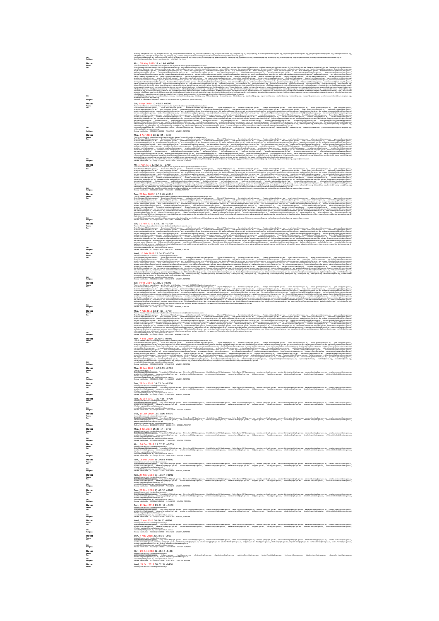**CC**<br> **Date: Date: Date: Date: Date: Date: Date: Date: Date: Date: Date: Date: Date: Date: Date: Date: Date: Date: Date: Date: Date: Date: Date: Date: Date: Date: Date:** Australian-churches@nationalsecurity.gov.au **CC:** newsdesk@theage.com.au, news@heraldsun.com.au **Subject:** Refusal Notification - BCC2019/457606 - 540624141 - NENZEN, TORSTEN **CC:** newsdesk@theage.com.au, news@heraldsun.com.au **Subject:** Refusal Notification - BCC2019/379230 - 685623880 - NENZEN, TORSTEN **Date: Thu, 7 Feb 2019 13:14:51 +0700**<br> **The State Street Primers** Conden Microsoft Conden Condensity Species<br> **The State Primerse Condensity Condensity Condensity CC:** newsdesk@theage.com.au, news@heraldsun.com.au **Subject:** Refusal Notification - BCC2019/286532 - 1765623319 - NENZEN, TORSTEN **Date:** Thu, 31 Jan 2019 11:53:53 +0700 **From:** Torsten <torsten@...>  $\begin{tabular}{l|c|c|c|c|c|c|c} \hline $\text{non-odd $p$} & $\text{non-odd $p$} & $\text{non-odd $p$} & $\text{non-odd $p$} \\ \hline \textbf{0} & $\text{non-odd $p$} & $\text{non-odd $p$} & $\text{non-odd $p$} \\ \hline \textbf{0} & $\text{non-odd $p$} & $\text{non-odd $p$} & $\text{non-odd $p$} \\ \hline \textbf{0} & $\text{non-odd $p$} & $\text{non-odd $p$} & $\text{non-odd $p$} \\ \hline \textbf{0} & $\text{non-odd $p$} & $\text$ **Date:** Tue, 15 Jan 2019 16:12:06 +0700 **From:** torsten@nenzen.net <torsten@nenzen.org> **Date:** Tue, 18 Dec 2018 11:24:03 +0800 **Date:**  $\frac{1}{2}$ <br> **Date:**  $\frac{1}{2}$ <br> **Date:**  $\frac{1}{2}$ <br> **Date:**  $\frac{1}{2}$ <br> **Date:**  $\frac{1}{2}$ <br> **Date:**  $\frac{1}{2}$ <br> **Date:**  $\frac{1}{2}$ <br> **Date:**  $\frac{1}{2}$ <br> **Date:**  $\frac{1}{2}$ <br> **Date:**  $\frac{1}{2}$ <br> **Date:**  $\frac{1}{2}$ <br> **Date:**  $\frac{1$ eVisitor.Helpdesk@homeaffairs.gov.au **CC:** newsdesk@theage.com.au, news@heraldsun.com.au **Subject:** Refusal Notification - BCC2018/5008942 - 2105618985 - NENZEN, TORSTEN **Date:** Wed, 7 Nov 2018 00:16:35 -0500

asia.org, info@forum-asia.org, hrd@forum-asia.org, info@releaseinternational.org, contactus@amnesty.org, info@churchinneed.org, kiri@csw.org.uk, info@jcpa.org, shananel@americanprogress.org, legalteam@americanprogress.org, progress@americanprogress.org, office@meconcern.org, info@fides.org, press@humanrightsfirst.org, info@cfj.org, violence-and-persecution-by-the-pastors-of-Australian-churches@nationalsecurity.gov.au **CC:** newsdesk@theage.com.au, news@heraldsun.com.au, mediarelations@ap.org, info@ap.org, RNixon@ap.org, pbanda@ap.org, klaub@ap.org, jgambrell@ap.org, mperrone@ap.org, rsatter@ap.org, leaston@ap.org, support@apnews.com, media@christianpersecutionreview.org.uk AND THE RELEASE OF THE RELEASE OF THE CONTRACT CONTRACT CONTRACT CONTRACT CONTRACT CONTRACT CONTRACT CONTRACT CONTRACT CONTRACT CONTRACT CONTRACT CONTRACT CONTRACT CONTRACT CONTRACT CONTRACT CONTRACT CONTRACT CONTRACT CON lemipsitelen@homeffangous, Assisch/Mukedhomedisrapous, eVidorikingous, medaghomedisrapous, ondokmedjornamigous, gowmer-genessingous, Tokonkolffor@gov.as, inmhammedisrapous, israh/shoutheredisrapous, inmhammedisrapous, inmh

tilianm@hrw.org, berlin@hrw.org, kooyj@hrw.org, wabwira@hrw.org, paris@hrw.org, zurich@hrw.org, brazil@hrw.org, oslooutreach@hrw.org, AuthorisedOfficer@oni.gov.au, info@hagueacademy.nl, scleve@law.columbia.edu, s.wilkins@doughtystreet.co.uk, r.bayliss@doughtystreet.co.uk, personalasst@icloud.com, freedomofreligion@ohchr.org, urgent-action@ohchr.org, civilsociety@ohchr.org, InfoDesk@ohchr.org, Thane, Katharine <katharine.thane@gmail.com>, inspire@opendoorsuk.org, usa@opendoors.org, odaustralia@od.org.au, enquire@od.org, opendoorsca@odcan.org, info@opendoors.de, info@pewresearch.org, contact@iirf.eu, admin@dignityforeveryone.org, info@iclrs.org, info@acn-intl.org, berkleycenter@georgetown.edu, persecutionrelief@gmail.com, admin@csw.org.uk, info@worldwatchmonitor.org, hrwpress@hrw.org, tilianm@hrw.org, berlin@hrw.org, wabwira@hrw.org, paris@hrw.org, schwarb@hrw.org, media@uscirf.gov, dbashir@uscirf.gov, ecassidy@uscirf.gov, tmufford@uscirf.gov, klavery@uscirf.gov, info@ecoi.net, acn@acnuk.org, international.secretariat.brussels@hrwf.net, f18news@editor.forum18.org, una@forum-asia.org, info@forum-asia.org, hrd@forum-asia.org, info@releaseinternational.org, contactus@amnesty.org, info@churchinneed.org, kiri@csw.org.uk, info@jcpa.org, shananel@americanprogress.org, legalteam@americanprogress.org, progress@americanprogress.org, office@meconcern.org, info@fides.org, press@humanrightsfirst.org, info@cfj.org, violence-and-persecution-by-the-pastors-of-Australian-churches@nationalsecurity.gov.au **CC:** newsdesk@theage.com.au, news@heraldsun.com.au, mediarelations@ap.org, info@ap.org, RNixon@ap.org, pbanda@ap.org, klaub@ap.org, jgambrell@ap.org, mperrone@ap.org, rsatter@ap.org, leaston@ap.org, support@apnews.com, philip.mounstephen@truro.anglican.org, esther.pollard@truro.anglican.org **Subject:** Freedom of Information request – Release of documents -FA 19/03/00215 [DLM=Sensitive] **Date:** Sat, 6 Apr 2019 10:43:02 +0200 **From:** Torsten-the-Monster <innocent-Torsten-persecuted-by-the-churches-globally@Sweden-is-evil.de> **To:** Scott.Morrison.MP@aph.gov.au, Steve.Irons.MP@aph.gov.au, michael.mccormack.mp@aph.gov.au, C.Pyne.MP@aph.gov.au, Senator.Payne@aph.gov.au, Foreign.minister@dfat.gov.au, mark.fraser@pmc.gov.au, alison.green@pmc.gov.au, yael.cass@pmc.gov.au, charlotte.tressler@pmc.gov.au, john.reid@pmc.gov.au, james.renwick@pmc.gov.au, brendan.macdowell@pmc.gov.au, cath.patterson@pmc.gov.au, tanja.cvijanovic@pmc.gov.au, bev.sims@pmc.gov.au, maya.stuart-fox@pmc.gov.au, jasminder.higgins@pmc.gov.au, caroline.millar@pmc.gov.au, maureen.harrison@pmc.gov.au, suzy.arnold@pmc.gov.au, emma.fooks@pmc.gov.au, david.williamson@pmc.gov.au, anne.zeman@pmc.gov.au, anne-marie.roberts@network.pmc.gov.au, jessica.guthrie@pmc.gov.au, margaret.horton@network.pmc.gov.au, tamara.harbus@pmc.gov.au, andy.johnston@pmc.gov.au, mira.dellavedova@pmc.gov.au, lou.leo@network.pmc.gov.au, deidre.hassett@network.pmc.gov.au, kira.kudinoff@network.pmc.gov.au, marnie.wettenhall@network.pmc.gov.au, richard.aspinall@network.pmc.gov.au, andrew.hewitt@network.pmc.gov.au, debbii.miller@network.pmc.gov.au, leon.donovan@network.pmc.gov.au, sevda.hadziahmetovic@network.pmc.gov.au, media@pmc.gov.au, Tony.Abbott.MP@aph.gov.au, David.Coleman.MP@aph.gov.au, Peter.Dutton.MP@aph.gov.au, senator.ryan@aph.gov.au, senator.birmingham@aph.gov.au, senator.bushby@aph.gov.au, senator.cormann@aph.gov.au, senator.lines@aph.gov.au, senator.payne@aph.gov.au, senator.reynolds@aph.gov.au, senator.wong@aph.gov.au, senator.farrell@aph.gov.au, david.elder.reps@aph.gov.au, claressa.surtees.reps@aph.gov.au, committee.reps@aph.gov.au, bronwyn.glenn.reps@aph.gov.au, clerk.sen@aph.gov.au, depclerk.sen@aph.gov.au, ca.committees.sen@aph.gov.au, seniorclerk.committees.sen@aph.gov.au, financeminister@finance.gov.au, lee.walton@ona.gov.au, foi@pmc.gov.au, publicinterestdisclosure@pmc.gov.au, fraud@pmc.gov.au, clerk.sen@aph.gov.au, depclerk.sen@aph.gov.au, eVisitor.Helpdesk@border.gov.au, minister@homeaffairs.gov.au, Immigration.Minister@homeaffairs.gov.au, Assistant.Minister@homeaffairs.gov.au, eVisitor.Helpdesk@homeaffairs.gov.au, media@homeaffairs.gov.au, ombudsman@ombudsman.gov.au, governor-general@gg.gov.au, FOIcontactofficer@gg.gov.au, sarah.bamford@humanrights.gov.au, Rania.Spooner@humanrights.gov.au, infoservice@humanrights.gov.au, complaintsinfo@humanrights.gov.au, kgilmore@ohchr.org, rcolville@ohchr.org, mhurtado@ohchr.org, civilsociety@ohchr.org, newyork@ohchr.org, Australia@hrw.org, hrwpress@hrw.org, schwarb@hrw.org, tilianm@hrw.org, berlin@hrw.org, kooyj@hrw.org, wabwira@hrw.org, paris@hrw.org, zurich@hrw.org, brazil@hrw.org, oslooutreach@hrw.org, AuthorisedOfficer@oni.gov.au, violence-and-persecution-by-the-pastors-of-Australian-churches@nationalsecurity.gov.au **CC:** newsdesk@theage.com.au, news@heraldsun.com.au, mediarelations@ap.org, info@ap.org, RNixon@ap.org, pbanda@ap.org, klaub@ap.org, jgambrell@ap.org, mperrone@ap.org, rsatter@ap.org, leaston@ap.org, support@apnews.com, philip.mounstephen@truro.anglican.org, esther.pollard@truro.anglican.org **Subject:** Refusal Notification - BCC2019/1688618 - 785625547 - NENZEN, TORSTEN **Date:** Thu, 4 Apr 2019 13:12:05 +0200

## Tooleh-Media channel and proposition between the control of the state of the control of the control of the control of the control of the control of the control of the control of the control of the control of the control Asiat/Khirijkmedin.gov.m. "Küziyiyamalingo.m." misijhmedingo.ac. misismejara.ac. governe geraliga gov.at, "Dizontaline"gay.ac. anhaningingov.ac. including government and a support the state of the state of the state of the

**CC:** newsdesk@theage.com.au, news@heraldsun.com.au, mediarelations@ap.org, info@ap.org, RNixon@ap.org, pbanda@ap.org, klaub@ap.org, jgambrell@ap.org, mperrone@ap.org, rsatter@ap.org, leaston@ap.org, support@apnews.com **Subject:** Refusal Notification - BCC2019/1032192 - 2025622825 - NENZEN, TORSTEN **Date:** Fri, 1 Mar 2019 12:02:10 +0700 **From:** Torsten-the-Monster <innocent-Torsten-persecuted-by-the-churches-globally@Sweden-is-evil.de> **To:** Scott.Morrison.MP@aph.gov.au, Steve.Irons.MP@aph.gov.au, michael.mccormack.mp@aph.gov.au, C.Pyne.MP@aph.gov.au, Senator.Payne@aph.gov.au, Foreign.minister@dfat.gov.au, mark.fraser@pmc.gov.au, alison.green@pmc.gov.au, yael.cass@pmc.gov.au, charlotte.tressler@pmc.gov.au, john.reid@pmc.gov.au, james.renwick@pmc.gov.au, brendan.macdowell@pmc.gov.au, cath.patterson@pmc.gov.au, tanja.cvijanovic@pmc.gov.au, bev.sims@pmc.gov.au, maya.stuart-fox@pmc.gov.au, jasminder.higgins@pmc.gov.au, caroline.millar@pmc.gov.au, maureen.harrison@pmc.gov.au, suzy.arnold@pmc.gov.au, emma.fooks@pmc.gov.au, david.williamson@pmc.gov.au, anne.zeman@pmc.gov.au, anne-marie.roberts@network.pmc.gov.au, jessica.guthrie@pmc.gov.au, margaret.horton@network.pmc.gov.au, tamara.harbus@pmc.gov.au, andy.johnston@pmc.gov.au, mira.dellavedova@pmc.gov.au, lou.leo@network.pmc.gov.au, deidre.hassett@network.pmc.gov.au, kira.kudinoff@network.pmc.gov.au, marnie.wettenhall@network.pmc.gov.au, richard.aspinall@network.pmc.gov.au, andrew.hewitt@network.pmc.gov.au, debbii.miller@network.pmc.gov.au, leon.donovan@network.pmc.gov.au, sevda.hadziahmetovic@network.pmc.gov.au, media@pmc.gov.au, Tony.Abbott.MP@aph.gov.au, David.Coleman.MP@aph.gov.au, Peter.Dutton.MP@aph.gov.au, senator.ryan@aph.gov.au, senator.birmingham@aph.gov.au, senator.bushby@aph.gov.au, senator.cormann@aph.gov.au, senator.lines@aph.gov.au, senator.payne@aph.gov.au, senator.reynolds@aph.gov.au, senator.wong@aph.gov.au, senator.farrell@aph.gov.au, david.elder.reps@aph.gov.au, claressa.surtees.reps@aph.gov.au, committee.reps@aph.gov.au, bronwyn.glenn.reps@aph.gov.au, clerk.sen@aph.gov.au, depclerk.sen@aph.gov.au, ca.committees.sen@aph.gov.au, seniorclerk.committees.sen@aph.gov.au, financeminister@finance.gov.au, lee.walton@ona.gov.au, foi@pmc.gov.au, publicinterestdisclosure@pmc.gov.au, fraud@pmc.gov.au, clerk.sen@aph.gov.au, depclerk.sen@aph.gov.au, eVisitor.Helpdesk@border.gov.au, minister@homeaffairs.gov.au, Immigration.Minister@homeaffairs.gov.au, Assistant.Minister@homeaffairs.gov.au, eVisitor.Helpdesk@homeaffairs.gov.au, media@homeaffairs.gov.au, ombudsman@ombudsman.gov.au, governor-general@gg.gov.au, FOIcontactofficer@gg.gov.au, sarah.bamford@humanrights.gov.au, Rania.Spooner@humanrights.gov.au, infoservice@humanrights.gov.au, complaintsinfo@humanrights.gov.au, kgilmore@ohchr.org, rcolville@ohchr.org, mhurtado@ohchr.org, civilsociety@ohchr.org, newyork@ohchr.org, Australia@hrw.org, hrwpress@hrw.org, schwarb@hrw.org, tilianm@hrw.org, berlin@hrw.org, kooyj@hrw.org, wabwira@hrw.org, paris@hrw.org, zurich@hrw.org, brazil@hrw.org, oslooutreach@hrw.org, AuthorisedOfficer@oni.gov.au, violence-and-persecution-by-the-pastors-of-Australian-churches@nationalsecurity.gov.au **CC:** newsdesk@theage.com.au, news@heraldsun.com.au, mediarelations@ap.org, info@ap.org, RNixon@ap.org, pbanda@ap.org, klaub@ap.org, jgambrell@ap.org, mperrone@ap.org, rsatter@ap.org, leaston@ap.org, support@apnews.com **Subject:** Refusal Notification - BCC2019/647209 - 725623783 - NENZEN, TORSTEN **Date:** Tue, 26 Feb 2019 11:52:48 +0700

The homogeneous controlling the proposition of the distribution of the controlling of the second of the second second second and the second of the second second second second second second second second second second seco

The homogeneous consideration of the constant of the state of the state of the constant of the constant of the constant of the constant of the constant of the constant of the constant of the constant of the constant of th

 $\textbf{Date:} \begin{minipage}[t]{0.5\textwidth}\begin{itemize} \textbf{Web} & \textbf{D11} & \textbf{D21} & \textbf{D31} & \textbf{D41} & \textbf{D51} & \textbf{D51} & \textbf{D61} & \textbf{D61} & \textbf{D71} & \textbf{D81} & \textbf{D81} & \textbf{D91} & \textbf{D91} & \textbf{D91} & \textbf{D91} & \textbf{D91} & \textbf{D91} & \textbf{D91} & \textbf{D91} & \textbf{D91} & \textbf{$ lee.walton@ona.gov.au, foi@pmc.gov.au, publicinterestdisclosure@pmc.gov.au, fraud@pmc.gov.au, clerk.sen@aph.gov.au, depclerk.sen@aph.gov.au, eVisitor.Helpdesk@border.gov.au, eVisitor.Helpdesk@homeaffairs.gov.au, Consultation@homeaffairs.gov.au, media@homeaffairs.gov.au, ombudsman@ombudsman.gov.au, governor-general@gg.gov.au, FOIcontactofficer@gg.gov.au, sarah.bamford@humanrights.gov.au, Rania.Spooner@humanrights.gov.au, infoservice@humanrights.gov.au, complaintsinfo@humanrights.gov.au, kgilmore@ohchr.org, rcolville@ohchr.org, mhurtado@ohchr.org, civilsociety@ohchr.org, newyork@ohchr.org, Australia@hrw.org, hrwpress@hrw.org, schwarb@hrw.org, tilianm@hrw.org, berlin@hrw.org, kooyj@hrw.org, wabwira@hrw.org, paris@hrw.org, zurich@hrw.org, brazil@hrw.org, oslooutreach@hrw.org, violence-and-persecution-by-the-pastors-of-Australian-churches@nationalsecurity.gov.au **CC:** newsdesk@theage.com.au, news@heraldsun.com.au **Subject:** Refusal Notification - BCC2019/404686 - 1035623675 - NENZEN, TORSTEN

**Date:**<br> **Date:** Sat, 9 Feb 2019 12:35:21 +0700<br>
Trains distribute cash and zone and zone and zone and zone and zone and zone and zone and zone and zone and zone<br>
The:<br>
San of the same of the same of the same of the same o The interference of the second second second second results and the second second second second second second second second second second second second second second second second second second second second second second

 $\label{eq:2} \begin{bmatrix} \textbf{1}_{\text{new}} \textbf{1}_{\text{new}} \textbf{1}_{\text{new}} \textbf{1}_{\text{new}} \textbf{1}_{\text{new}} \textbf{1}_{\text{new}} \textbf{1}_{\text{new}} \textbf{1}_{\text{new}} \textbf{1}_{\text{new}} \textbf{1}_{\text{new}} \textbf{1}_{\text{new}} \textbf{1}_{\text{new}} \textbf{1}_{\text{new}} \textbf{1}_{\text{new}} \textbf{1}_{\text{new}} \textbf{1}_{\text{new}} \textbf{1}_{\text{new}} \textbf{1}_{\text{new}} \textbf{1}_{\text{$ **CC:** newsdesk@theage.com.au, news@heraldsun.com.au **Subject:** Refusal Notification - BCC2019/339949 - 285622888 - NENZEN, TORSTEN

 $\textbf{Date} = \begin{bmatrix} \mathbf{A} & \mathbf{A} & \mathbf{A} & \mathbf{A} & \mathbf{A} & \mathbf{A} & \mathbf{A} & \mathbf{A} & \mathbf{A} & \mathbf{A} & \mathbf{A} & \mathbf{A} & \mathbf{A} & \mathbf{A} & \mathbf{A} & \mathbf{A} & \mathbf{A} & \mathbf{A} & \mathbf{A} & \mathbf{A} & \mathbf{A} & \mathbf{A} & \mathbf{A} & \mathbf{A} & \mathbf{A} & \mathbf{A} & \mathbf{A} & \mathbf{A} & \mathbf{A} & \mathbf{$ fölcmistifienfiggovar, hanangiteljade, sankärhörjökananighsgovar, ReisSpoorefhansrighsgova, omplinkinfolikanangitsgovar, kolmenjohden, kolmenjohdeng, rokileljohdeng, miutabijiohdeng, miutabijiohdeng, miutabijiohdeng, miuta

**To:** Scott.Morrison.MP@aph.gov.au, Tony.Abbott.MP@aph.gov.au, Steve.Irons.MP@aph.gov.au, David.Coleman.MP@aph.gov.au, Peter.Dutton.MP@aph.gov.au, senator.ryan@aph.gov.au, senator.birmingham@aph.gov.au, senator.bushby@aph.gov.au, senator.cormann@aph.gov.au, senator.lines@aph.gov.au, senator.payne@aph.gov.au, senator.reynolds@aph.gov.au, senator.wong@aph.gov.au, senator.farrell@aph.gov.au, foi@pmc.gov.au, fraud@pmc.gov.au, clerk.sen@aph.gov.au, depclerk.sen@aph.gov.au, eVisitor.Helpdesk@border.gov.au, eVisitor.Helpdesk@homeaffairs.gov.au **CC:** newsdesk@theage.com.au, news@heraldsun.com.au **Subject:** Refusal Notification - BCC2019/249527 - 2115622626 - NENZEN, TORSTEN

իտեղիատով տեղանաբանության Սերիաստ ՏուերաՍիջերը», նանձառՍիրերու ինդիկակիցերը, ստնորդիկութ, ամբիազիվերիա, ամբիազիվերու<br>Ու Հայաստանի համականությունների համականների համադրերի, ամբիականում, երբարտ, հանրապետ, նախագերու, մասնակ

 $\mathbf{Date}$  .  $\mathbf{Date}$  .  $\mathbf{Date}$  .  $\mathbf{Date}$  .  $\mathbf{Date}$  . The state of the state of the state of the state of the state of the state of the state of the state of the state of the state of the state of the state of the

to: http://www.assima.com/alignation.com/alignation.com/alignation.com/alignation.com/Pipedia/alignation.com/alignation.com/alignation.com/alignation/alignation/alignation/alignation/alignation/alignation/alignation/aligna eVisitor.Helpdesk@homeaffairs.gov.au **CC:** newsdesk@theage.com.au, news@heraldsun.com.au **Subject:** Refusal Notification - BCC2018/5940506 - 1405621013 - NENZEN, TORSTEN

 $\begin{tabular}{l|c|c|c} \hline \textbf{Data} & \textbf{This} & \textbf{This} & \textbf{This} & \textbf{This} & \textbf{This} & \textbf{This} & \textbf{This} \\ \hline \textbf{Data} & \textbf{In} & \textbf{In} & \textbf{In} & \textbf{In} & \textbf{In} & \textbf{In} \\ \hline \textbf{Test} & \textbf{In} & \textbf{In} & \textbf{In} & \textbf{In} & \textbf{In} & \textbf{In} \\ \hline \textbf{Test} & \textbf{In} & \textbf{In} & \textbf{In} & \textbf{In} & \textbf{In$ **To:** Scott.Morrison.MP@aph.gov.au, Tony.Abbott.MP@aph.gov.au, Steve.Irons.MP@aph.gov.au, David.Coleman.MP@aph.gov.au, Peter.Dutton.MP@aph.gov.au, senator.ryan@aph.gov.au, senator.birmingham@aph.gov.au, senator.bushby@aph.gov.au, senator.cormann@aph.gov.au, senator.lines@aph.gov.au, senator.payne@aph.gov.au, senator.reynolds@aph.gov.au, senator.wong@aph.gov.au, senator.farrell@aph.gov.au, foi@pmc.gov.au, fraud@pmc.gov.au, clerk.sen@aph.gov.au, depclerk.sen@aph.gov.au, eVisitor.Helpdesk@border.gov.au,

Mot: // A Dec 2013 15:07:21<br>break breakfareand (breakfareance)<br>East Monach Market Hand Monach Paper Dec Institute Dec 2011 and Dec 2014 and Dec 2012 and Dec 2014 and Dec 20<br>water besides and resident and received and resi eVisitor.Helpdesk@homeaffairs.gov.au **CC:** newsdesk@theage.com.au, news@heraldsun.com.au **Subject:** Refusal Notification - BCC2018/5702072 - 1900620037 - NENZEN, TORSTEN

**From:** torsten@nenzen.net <torsten@nenzen.org> **To:** Scott.Morrison.MP@aph.gov.au, Tony.Abbott.MP@aph.gov.au, Steve.Irons.MP@aph.gov.au, David.Coleman.MP@aph.gov.au, Peter.Dutton.MP@aph.gov.au, senator.ryan@aph.gov.au, senator.birmingham@aph.gov.au, senator.bushby@aph.gov.au, senator.cormann@aph.gov.au, senator.lines@aph.gov.au, senator.payne@aph.gov.au, senator.reynolds@aph.gov.au, senator.wong@aph.gov.au, senator.farrell@aph.gov.au, foi@pmc.gov.au, fraud@pmc.gov.au, clerk.sen@aph.gov.au, depclerk.sen@aph.gov.au, eVisitor.Helpdesk@border.gov.au, eVisitor.Helpdesk@homeaffairs.gov.au **CC:** newsdesk@theage.com.au, news@heraldsun.com.au **Subject:** Refusal Notification - BCC2018/5321762 - 340620883 - NENZEN, TORSTEN **Date:** Tue, 27 Nov 2018 20:19:37 +0000 **From:** torsten@nenzen.net <torsten@nenzen.org> **To:** Scott.Morrison.MP@aph.gov.au, Tony.Abbott.MP@aph.gov.au, Steve.Irons.MP@aph.gov.au, David.Coleman.MP@aph.gov.au, Peter.Dutton.MP@aph.gov.au, senator.ryan@aph.gov.au, senator.birmingham@aph.gov.au, senator.bushby@aph.gov.au, senator.cormann@aph.gov.au, senator.lines@aph.gov.au, senator.payne@aph.gov.au, senator.reynolds@aph.gov.au, senator.wong@aph.gov.au, senator.farrell@aph.gov.au, foi@pmc.gov.au, fraud@pmc.gov.au, clerk.sen@aph.gov.au, depclerk.sen@aph.gov.au, eVisitor.Helpdesk@border.gov.au, eVisitor.Helpdesk@homeaffairs.gov.au **CC:** newsdesk@theage.com.au, news@heraldsun.com.au **Subject:** Refusal Notification - BCC2018/5187367 - 790620219 - NENZEN, TORSTEN

**From:** torsten@nenzen.net <torsten@nenzen.org> **To:** Scott.Morrison.MP@aph.gov.au, Tony.Abbott.MP@aph.gov.au, Steve.Irons.MP@aph.gov.au, David.Coleman.MP@aph.gov.au, Peter.Dutton.MP@aph.gov.au, senator.ryan@aph.gov.au, senator.birmingham@aph.gov.au, senator.bushby@aph.gov.au, senator.cormann@aph.gov.au, senator.lines@aph.gov.au, senator.payne@aph.gov.au, senator.reynolds@aph.gov.au, senator.wong@aph.gov.au, senator.farrell@aph.gov.au, foi@pmc.gov.au, fraud@pmc.gov.au, clerk.sen@aph.gov.au, depclerk.sen@aph.gov.au, eVisitor.Helpdesk@border.gov.au,

Date:<br>http://www.https://www.https://www.https://www.https://www.https://www.https://www.https://www.https://www.https://www.https://www.https://www.https://www.https://www.https://www.https://www.https://www.https://www

է առաջանական համար համար համար է մեջ համար համար համար համար համար համար համար համար համար համար համար համար հ<br>16։<br>16։ Համար համար համար համար համար համար համար համար համար համար համար համար համար համար համար համար համար eVisitor.Helpdesk@homeaffairs.gov.au **CC:** newsdesk@theage.com.au, news@heraldsun.com.au **Subject:** Refusal Notification - BCC2018/4878563 - 395619202 - NENZEN, TORSTEN

Date:<br>The Same House of the Commission of the Commission of the Commission of the Commission of the Commission of the Commission of the Commission of the Commission of the Commission of the Commission of the Commission of

Mater<br>International Committee (State School of Material School of Material School of Material School of Material School of Material School of Material School of Material School of Material School of Material School of Mat **CC:** newsdesk@theage.com.au, news@heraldsun.com.au **Subject:** Refusal Notification - BCC2018/4671699 - 375617837 - TORSTEN, NENZEN

**Date:** Wed, 24 Oct 2018 00:02:54 -0400 **From:** torsten@nenzen.net <torsten@nenzen.org>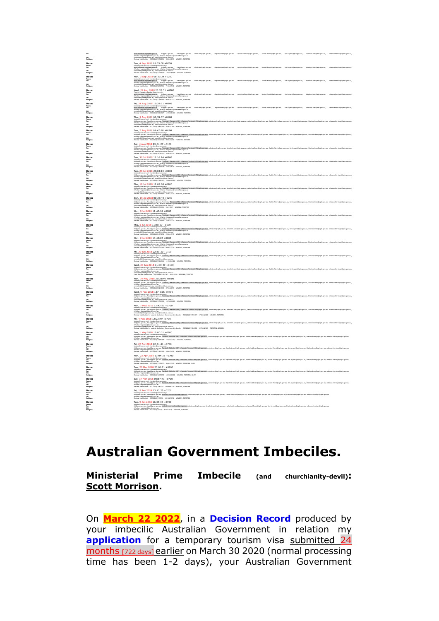The Construction (այս անորդական անհրանգում, մահանգերում, մանենակարգում, որեմանացակցում, հանձնանգում, հետասանական հատումատում է համանական համար է համանական համար։<br>«Այս անհրանգում է համականական համականական համականական համակ **Date: <br>
Tue, 4 Sep 2018 08:35:08 +0200 08:35:08 +0200 08:35:08 +0200 08:35:08 +0200 08:35:08 +0200 08:35:08 +0200 08:35:08 +0200 08:35:08 +0200 08:35:08 +0200 08:35:08 +0200 08:35:08 +0200 08:35:08 +0200 08:35:08 +0200 08 From:** torsten@nenzen.net <torsten@nenzen.org> **To:** scott.morrison.mp@aph.gov.au, foi@pmc.gov.au, fraud@pmc.gov.au, clerk.sen@aph.gov.au, depclerk.sen@aph.gov.au, rachel.callinan@aph.gov.au, Jackie.Morris@aph.gov.au, tim.bryant@aph.gov.au, blackrod.sen@aph.gov.au, rebecca.herringe@aph.gov.au, eVisitor.Helpdesk@border.gov.au, eVisitor.Helpdesk@homeaffairs.gov.au **CC:** newsdesk@theage.com.au, news@heraldsun.com.au **Subject:** Refusal Notification - BCC2018/3340833 - 1265616696 - NENZEN, TORSTEN **Date:**<br>1986<br>1986 - <u>Determination and the state of the state</u> of the state of the state of the state of the state of the state of the state of the state of the state of the state of the state of the state of the state of eVisitor.Helpdesk@border.gov.au, eVisitor.Helpdesk@homeaffairs.gov.au **CC:** newsdesk@theage.com.au, news@heraldsun.com.au **Subject:** Refusal Notification - BCC2018/3278581 - 715616912 - NENZEN, TORSTEN **Date:** Wed, 29 Aug 2018 23:20:51 +0200 **From:** Torsten Nenzén <torsten@nenzen.net> eVisitor.Helpdesk@border.gov.au, eVisitor.Helpdesk@homeaffairs.gov.au **CC:** newsdesk@theage.com.au, news@heraldsun.com.au -<br>- fraud@pmc.gov.au, clerk.sen@aph.gov.au, depderk.sen@aph.gov.au, nachel.calinan@aph.gov.au, lacide.Morris@aph.gov.au, hartend.com/apph.gov.au, neb<br>mealfairs.mv.au **Subject:** Refusal Notification - BCC2018/3208190 - 940616710 - NENZEN, TORSTEN **Date:** Fri, 24 Aug 2018 12:29:21 +0100 անաստանությունը անվեր աշխատանում, հանրագրության, մակառաջարկան աշխատանության աշխատանություն է աշխատանություն աշ<br>«Այս անվերի աշխատանությունը աշխատանություն<br>«Հ **Subject:** Refusal Notification - BCC2018/3004627 - 1245616123 - NENZEN, TORSTEN Date:<br>The Management of the Company of Management of the Management of the Company of the Company of the Company of the Company of the Company of the Company of the Company of the Company of the Company of the Company of t eVisitor.Helpdesk@border.gov.au, eVisitor.Helpdesk@homeaffairs.gov.au **CC:** newsdesk@theage.com.au, news@heraldsun.com.au **Subject:** Refusal Notification - BCC2018/2965345 - 850614745 - NENZEN, TORSTEN **Date:** Tue, 7 Aug 2018 09:47:28 +0100 **From:** torsten@nenzen.net <torsten@nenzen.org> The Constanting of the Constanting Marianthal Marianthal Marian Android State of the Constanting of the Constanting of the Constanting of the Constanting of the Constanting of the Constanting of the Constanting of the Con  $\begin{tabular}{|c|c|c|c|c|c|} \hline & $\alpha$ & $\alpha$ & $\alpha$ & $\alpha$ & $\alpha$ \\ \hline \hline $\alpha$ & $\alpha$ & $\alpha$ & $\alpha$ & $\alpha$ & $\alpha$ \\ \hline \hline $\alpha$ & $\alpha$ & $\alpha$ & $\alpha$ & $\alpha$ & $\alpha$ \\ \hline $\alpha$ & $\alpha$ & $\alpha$ & $\alpha$ & $\alpha$ & $\alpha$ \\ \hline $\alpha$ & $\alpha$ & $\alpha$ & $\alpha$ & $\alpha$ & $\alpha$ \\ \hline $\alpha$ & $\alpha$ & $\alpha$ & $\alpha$ & $\alpha$ & $\alpha$ & $\alpha$ \\ \hline $\alpha$ & $\alpha$ & $\alpha$ & $\alpha$ & $\alpha$ & $\alpha$ & $\alpha$ \\$ ին անգառության համարվում է ընթաց են շարունական անգաման հաշարական անգամ է անգամանում է անգամ է անգամանում է անգ<br>Այս անգամանում է անգամանում է անգամանում է անգամանում է անգամանում է անգամանում է անգամանում է անգամանում է ան ialyat katara-kontainan-kataran<br>Date: Tue, 31 Ji 2018 11:16:14 40200<br>Tas eVisitor.Helpdesk@border.gov.au, eVisitor.Helpdesk@homeaffairs.gov.au **CC:** newsdesk@theage.com.au, news@heraldsun.com.au **Subject:** Refusal Notification - BCC2018/2780608 - 220615823 - NENZEN, TORSTEN **Date:** <br>
Tue, 24 Jul 2018 23:03:10 +0200<br>

<br>
Weight and the state of the state of the state of the state of the state of the state of the state of the state of the state of the state of the state of the state of the state երը<br>«Հայաստանի համար համար է համար համար համար համար համար համակարգերու, որոն անտարելու, հեն համար առ, հետաքակար, հետևանգերու, սեզ համար համար է համար է համար է համար է համար է համակարգերու<br>«Հայաստանի համար է համար համար **Date:** Sun, 15 Jul 2018 00:23:49 +0200 **From:** torsten@nenzen.net <torsten@nenzen.org> For the control of the control of the control of the control of the control of the control of the control of the control of the control of the control of the control of the control of the control of the control of the con eVisitor.Helpdesk@border.gov.au, eVisitor.Helpdesk@homeaffairs.gov.au **CC:** newsdesk@theage.com.au, news@heraldsun.com.au **Subject:** Refusal Notification - BCC2018/2573001 - 25613917 - NENZEN, TORSTEN **Date:** Mon, 9 Jul 2018 11:40:18 +0100 **From:** torsten@nenzen.net <torsten@nenzen.org> The Constanting of the Constanting Constanting (Constanting Constanting Constanting Constanting Constanting Constanting Constanting Constanting Constanting Constanting Constanting Constanting Constanting Constanting Const **Date:**<br>Transformation: help:ncom, help:like and provided and and the state of the state of the state of the state of the state of the state of the state of the state of the state of the state of the state of the state of ծնված։<br>Date:<br>Date: «Հայաստանում է 2008-2010/2009-2011) - հուշադրությունների հայտնաբար է անձանական հայտնաբար է հայտնաբար կար<br>«Հայաստանությունը» - «Հայաստանությունը» - հուշադրությունները հայտնաբար է հայտնաբար է հայտնաբար է  $\begin{tabular}{|c|c|c|c|c|} \hline \textbf{Pate}: & $fr_i^c_j \geq 0, \text{mod } 22, \text{mod } 22, \text{mod } 22, \text{mod } 22, \text{mod } 22, \text{mod } 22, \text{mod } 22, \text{mod } 22, \text{mod } 22, \text{mod } 22, \text{mod } 22, \text{mod } 22, \text{mod } 22, \text{mod } 22, \text{mod } 22, \text{mod } 22, \text{mod } 22, \text{mod } 22, \text{mod } 22, \text{mod } 22$ The Constanting of the Constanting Of States (States of the Constanting of the American States of the Constanting of the Constanting of the Constanting of the Constanting of the Constanting of the Constanting of the Const Date:<br>These the state of the state of the USA (Mark Translated Prophenes), oriently the state and the state of the state of the state of the state of the state of the state of the state of the state of the state of the st **Date:**<br>The Management of the 2018-2018-2019 of Management of the State of the State of the State of the State of the State of the State of the State of the State of the State of the State of the State of the State of the eVisitor.Helpdesk@border.gov.au **CC:** newsdesk@theage.com.au, news@heraldsun.com.au **Subject:** Refusal Notification - BCC2018/2021012 - 370612856 - NENZEN, TORSTEN **Date:**<br>The Management of the Communication of the Communication of the Communication of the Communication of the Communication of the Communication of the Communication of the Communication of the Communication of the Com eVisitor.Helpdesk@border.gov.au **CC:** newsdesk@theage.com.au, news@heraldsun.com.au **Subject:** Refusal Notification - BCC2018/1979755 - 1575611895 - NENZEN, TORSTEN **Date:** Mon, 7 May 2018 12:43:50 +0700 երը։<br>«Հայ անվեր անվեր կարող անվեր համար առաջան անվեր անվեր անվեր առաջան այս անվեր առաջան առաջան համար առաջանության<br>«Հայ անվեր անվեր առաջանություն առաջանությունը» համար առաջանություն անվեր առաջանություն առաջանում է համար ա **Date:** Tue, 1 May 2018 12:00:31 +0700 **From:** torsten@nenzen.net <torsten@nenzen.org> **To:** foi@pmc.gov.au, fraud@pmc.gov.au, Turnbull, Malcolm (MP) <Malcolm.Turnbull.MP@aph.gov.au>, clerk.sen@aph.gov.au, depclerk.sen@aph.gov.au, rachel.callinan@aph.gov.au, Jackie.Morris@aph.gov.au, tim.bryant@aph.gov.au, blackrod.sen@aph.gov.au, rebecca.herringe@aph.gov.au **Subject:** Refusal Notification - BCC2018/1859299 - 1655612222 - NENZEN, TORSTEN **Date:** Fri, 27 Apr 2018 12:54:41 +0700 **From:** torsten@nenzen.net <torsten@nenzen.org> The Hollymage and Hollymage an Install Mission (With Install Michael And Although State And Announce and Although Announce and Although State Announce and Although State Announce and Although Announce and Although Announce **Date:** Mon, 23 Apr 2018 13:04:36 +0700 **From:** torsten@nenzen.net <torsten@nenzen.org> for man the man the start of the man the start of the start of the start of the start of the start of the start of the start of the start of the start of the start of the start of the start of the start of the start of th **Date:** Tue, 20 Mar 2018 23:06:21 +0700<br>
New York 20 Mar 2018 23:06:21 +0700<br>
New York 20 Mar 2018 23:06:27 +10700<br>
Sales and Marketine Scripts and Hardwick 2008 2017<br>
The Real Property and Hardwick 2008 00:574 +0700<br>
Part Team interferenced Content/stand only Melain (M) offeiain Turbal MOpplaxers), derivers behavior and content of the content of the content of the content of the content of the content of the content of the content of the c **Subject:** Refusal Notification - BCC2018/1279675 - 1315611000 - NENZEN, TORSTEN OLOV Date:<br>Trans: https://www.pat.gov.gov/2000.html //www.my/2000.html //www.my.ashing.com/2000.html //www.my.ashing.com/2000.html //www.my.ashing.com/2000.html //www.my.ashing.com/2000.html //www.my.ashing.com/2000.html //www **Subject:** Refusal Notification - BCC2018/196333 - 1380608229 - NENZEN, TORSTEN **Date:** Fri, 12 Jan 2018 13:13:25 +0700 **From:** torsten@nenzen.net <torsten@nenzen.org> **To:** foi@pmc.gov.au, fraud@pmc.gov.au, malcolm.turnbull.mp@aph.gov.au, clerk.sen@aph.gov.au, depclerk.sen@aph.gov.au, rachel.callinan@aph.gov.au, Jackie.Morris@aph.gov.au, tim.bryant@aph.gov.au, blackrod.sen@aph.gov.au, rebecca.herringe@aph.gov.au **CC:** eVisitor.Helpdesk@border.gov.au **Subject:** Refusal Notification - BCC2018/133534 - 1015609191 - NENZEN, TORSTEN **Date:**<br>Translate and the controller and the controller of the controller and the controller and the controller and the controller and the controller and the controller and the controller and the controller and the contro

# **Australian Government Imbeciles.**

**Ministerial Prime Imbecile (and churchianity-devil): Scott Morrison.**

On **March 22 2022**, in a **[Decision](https://www.kyrkor.be/Decision-Record_220322.pdf) Record** produced by your imbecilic Australian Government in relation my **[application](http://www.kyrkor.be/2020-03-30_Application.pdf)** for a temporary tourism visa submitted 24 months [722 days] earlier on March 30 2020 (normal processing time has been 1-2 days), your Australian Government

**Date:**<br>
From:<br>
To: CC:<br>
Subject:<br>
Date:<br>
CC: CS:<br>
Date:<br>
Trom:<br>
To: CS:<br>
CC: CS:<br>
Subject: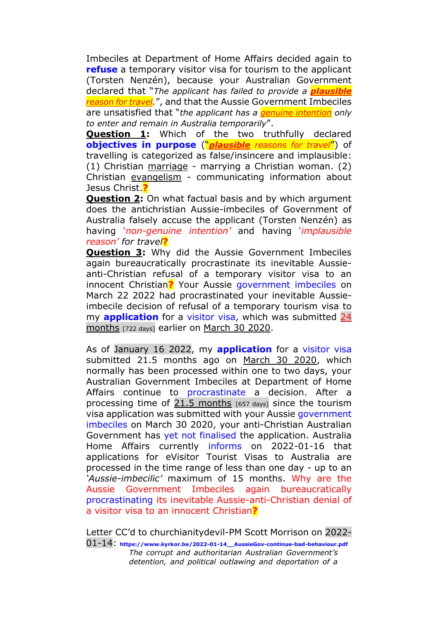Imbeciles at Department of Home Affairs decided again to **[refuse](https://www.kyrkor.be/Refusal-Notification_220322.pdf)** a temporary visitor visa for tourism to the applicant (Torsten Nenzén), because your Australian Government declared that "*The applicant has failed to provide a plausible reason for travel.*", and that the Aussie Government Imbeciles are unsatisfied that "*the applicant has a genuine intention only to enter and remain in Australia temporarily*".

**Question 1:** Which of the two truthfully declared **[objectives in purpose](http://www.kyrkor.be/2020-02-11_Home-Affairs_TRAVEL-DECLARATION-for-violent-abusive-Aussieland.pdf)** ("*plausible reasons for travel*") of travelling is categorized as false/insincere and implausible: (1) Christian marriage - marrying a Christian woman. (2) Christian evangelism - communicating information about Jesus Christ.**?**

**Question 2:** On what factual basis and by which argument does the antichristian Aussie-imbeciles of Government of Australia falsely accuse the applicant (Torsten Nenzén) as having '*non-genuine intention'* and having '*implausible reason' for travel***?**

**Question 3:** Why did the Aussie Government Imbeciles again bureaucratically procrastinate its inevitable Aussieanti-Christian refusal of a temporary visitor visa to an innocent Christian**?** Your Aussie [government imbeciles](http://www.kyrkor.be/2020-02-11_Home-Affairs_TRAVEL-DECLARATION-for-violent-abusive-Aussieland.pdf) on March 22 2022 had procrastinated your inevitable Aussieimbecile decision of refusal of a temporary tourism visa to my **[application](http://www.kyrkor.be/2020-03-30_Application.pdf)** for a [visitor visa,](https://www.kyrkor.be/2022-01-16_application-confirmation-letter_200330.pdf) which was submitted 24 months [722 days] earlier on March 30 2020.

As of January 16 2022, my **[application](http://www.kyrkor.be/2020-03-30_Application.pdf)** for a [visitor visa](https://www.kyrkor.be/2022-01-16_application-confirmation-letter_200330.pdf) submitted 21.5 months ago on March 30 2020, which normally has been processed within one to two days, your Australian Government Imbeciles at Department of Home Affairs continue to [procrastinate](https://www.kyrkor.be/2022-01-16_online-lodgement_Submitted-2020-03-30.JPG) a decision. After a processing time of 21.5 months  $[657 \text{ days}]$  since the tourism visa application was submitted with your Aussie [government](http://www.kyrkor.be/2020-02-11_Home-Affairs_TRAVEL-DECLARATION-for-violent-abusive-Aussieland.pdf)  [imbeciles](http://www.kyrkor.be/2020-02-11_Home-Affairs_TRAVEL-DECLARATION-for-violent-abusive-Aussieland.pdf) on March 30 2020, your anti-Christian Australian Government has [yet not finalised](https://www.kyrkor.be/2022-01-16_IMMI-online-account_Submitted-2020-03-30.JPG) the application. Australia Home Affairs currently [informs](https://www.kyrkor.be/2022-01-16_Home-Affairs_visa-processing-times.JPG) on 2022-01-16 that applications for eVisitor Tourist Visas to Australia are processed in the time range of less than one day - up to an *'Aussie-imbecilic'* maximum of 15 months. Why are the Aussie Government Imbeciles again bureaucratically [procrastinating](https://www.kyrkor.be/2022-01-16_Home-Affairs-Payment-Summary_dates.pdf) its inevitable Aussie-anti-Christian denial of a visitor visa to an innocent Christian**?**

Letter CC'd to churchianitydevil-PM Scott Morrison on 2022-

01-14: **[https://www.kyrkor.be/2022-01-14\\_\\_AussieGov-continue-bad-behaviour.pdf](https://www.kyrkor.be/2022-01-14__AussieGov-continue-bad-behaviour.pdf)** *The corrupt and authoritarian Australian Government's detention, and political outlawing and deportation of a*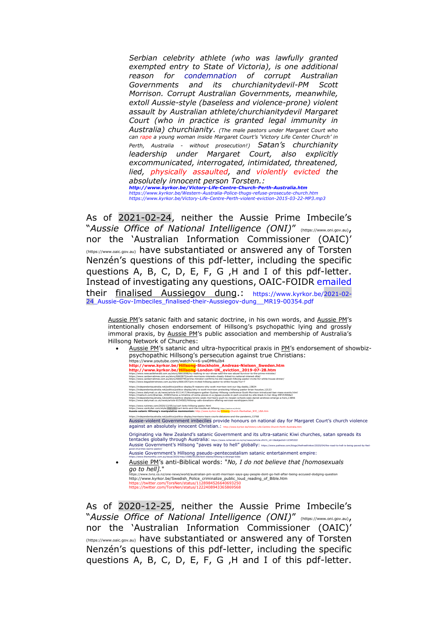*Serbian celebrity athlete (who was lawfully granted exempted entry to State of Victoria), is one additional reason for [condemnation](https://bit.ly/34ZqSeP) of corrupt Australian Governments and its churchianitydevil-PM Scott Morrison. Corrupt Australian Governments, meanwhile, extoll Aussie-style (baseless and violence-prone) violent assault by Australian athlete/churchianitydevil Margaret Court (who in practice is granted legal immunity in Australia) churchianity. (The male pastors under Margaret Court who can rape a young woman inside Margaret Court's 'Victory Life Center Church' in Perth, Australia - without prosecution!) Satan's churchianity leadership under Margaret Court, also explicitly excommunicated, interrogated, intimidated, threatened, lied, physically assaulted, and violently evicted the absolutely innocent person Torsten.: <http://www.kyrkor.be/Victory-Life-Centre-Church-Perth-Australia.htm> <https://www.kyrkor.be/Western-Australia-Police-thugs-refuse-prosecute-church.htm> <https://www.kyrkor.be/Victory-Life-Centre-Perth-violent-eviction-2015-03-22-MP3.mp3>*

As of 2021-02-24, neither the Aussie Prime Imbecile's "*Aussie Office of National Intelligence (ONI)*" [\(https://www.oni.gov.au\)](https://www.oni.gov.au/), nor the 'Australian Information Commissioner (OAIC)' [\(https://www.oaic.gov.au\)](https://www.oaic.gov.au/) have substantiated or answered any of Torsten Nenzén's questions of this pdf-letter, including the specific questions A, B, C, D, E, F, G ,H and I of this pdf-letter. Instead of investigating any questions, OAIC-FOIDR [emailed](https://www.kyrkor.be/2021-02-24_OAIC-FOIDR_Email_reference-MR1900354.pdf) their finalised Aussiegov dung.: [https://www.kyrkor.be/2021-02-](https://www.kyrkor.be/2021-02-24_Aussie-Gov-Imbeciles_finalised-their-Aussiegov-dung__MR19-00354.pdf) [24\\_Aussie-Gov-Imbeciles\\_finalised-their-Aussiegov-dung\\_\\_MR19-00354.pdf](https://www.kyrkor.be/2021-02-24_Aussie-Gov-Imbeciles_finalised-their-Aussiegov-dung__MR19-00354.pdf)

Aussie PM's satanic faith and satanic doctrine, in his own words, and Aussie PM's intentionally chosen endorsement of Hillsong's psychopathic lying and grossly immoral praxis, by Aussie PM's public association and membership of Australia's Hillsong Network of Churches:

Aussie PM's satanic and ultra-hypocritical praxis in PM's endorsement of showbizpsychopathic Hillsong's persecution against true Christians:

<https://www.youtube.com/watch?v=6-ywDMHuIb4><br>http://www.kyrkor.be/**Hillsong-**Btockholm\_**Andreas-Nielsen\_Sweden.htm**<br>http://www.kyrkor.be/**Hillsong-London-UK\_eviction\_2019-07-28.htm**<br>https://www.eneershined.com.au/dary/6661 https://independentaustralia.net/politics/politics-display/9-reason-why-acth-morrison-brank-un-big-daddy.13824<br>https://www.dailymail.co.uk/news/article-811/417/Worshippers-gather-Sydney-Hillsong-distor-brank-brank-outscha<br> <https://www.nytimes.com/2020/12/05/us/carl-lentz-hillsong-pastor.html><br>https://www.vanityfair.com/style/<mark>2021/02/carl-lentz-and-the-trouble-at-hillsong</mark> (<del>utga://wolwan/zana)</del><br>**Aussie-satanic Hillsong's manipulative mammoni** <https://independentaustralia.net/politics/politics-display/morrisons-tears-courts-delusions-and-the-pandemic,13768><br>Aussie-violent Government imbeciles provide honours on national day for Margaret Court's church violence against an absolutely innocent Christian.: http://www.kyrkor.be/Victory-Life-Centre-Church Originating via New Zealand's satanic Government and its ultra-satanic Kiwi churches, satan spreads its tentacles globally through Australia: [https://www.nzherald.co.nz/nz/news/article.cfm?c\\_id=1&objectid=12345222](https://www.nzherald.co.nz/nz/news/article.cfm?c_id=1&objectid=12345222) Aussie Government's Hillsong "paves way to hell" globally: https://www.patheos.com/blogs/the[good-churches-warns-pastor/](https://www.patheos.com/blogs/thefreethinker/2020/04/the-road-to-hell-is-being-paved-by-feel-good-churches-warns-pastor/)<br>Aussie Government's Hillsong pseudo-pentecostalism satanic entertainment empire: <https://www.themonthly.com.au/issue/2020/may/1588255200/lech-blaine/hillsong-s-strange-tides> • Aussie PM's anti-Biblical words: "*No, I do not believe that [homosexuals go to hell].*" <https://www.tvnz.co.nz/one-news/world/australian-pm-scott-morrison-says-gay-people-dont-go-hell-after-being-accused-dodging-question> [http://www.kyrkor.be/Swedish\\_Police\\_criminalize\\_public\\_loud\\_reading\\_of\\_Bible.htm](http://www.kyrkor.be/Swedish_Police_criminalize_public_loud_reading_of_Bible.htm)

/twitter.com/TorsNen/status/11289845266406932 <https://twitter.com/TorsNen/status/1222408943365869568>

As of 2020-12-25, neither the Aussie Prime Imbecile's "*Aussie Office of National Intelligence (ONI)*" [\(https://www.oni.gov.au\)](https://www.oni.gov.au/), nor the 'Australian Information Commissioner (OAIC)' [\(https://www.oaic.gov.au\)](https://www.oaic.gov.au/) have substantiated or answered any of Torsten Nenzén's questions of this pdf-letter, including the specific questions A, B, C, D, E, F, G ,H and I of this pdf-letter.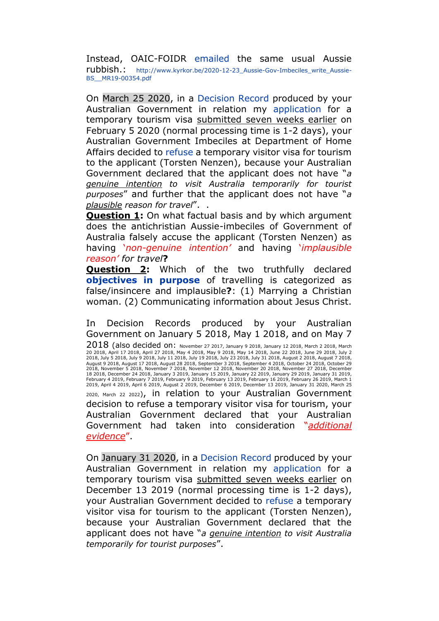Instead, OAIC-FOIDR [emailed](http://www.kyrkor.be/2020-12-23_OAIC-FOIDR_Email_reference-MR1900354.pdf) the same usual Aussie rubbish.: [http://www.kyrkor.be/2020-12-23\\_Aussie-Gov-Imbeciles\\_write\\_Aussie-](http://www.kyrkor.be/2020-12-23_Aussie-Gov-Imbeciles_write_Aussie-BS__MR19-00354.pdf)[BS\\_\\_MR19-00354.pdf](http://www.kyrkor.be/2020-12-23_Aussie-Gov-Imbeciles_write_Aussie-BS__MR19-00354.pdf)

On March 25 2020, in a [Decision](http://www.kyrkor.be/Decision-Record_200325.pdf) Record produced by your Australian Government in relation my [application](http://www.kyrkor.be/2020-02-05_Application.pdf) for a temporary tourism visa submitted seven weeks earlier on February 5 2020 (normal processing time is 1-2 days), your Australian Government Imbeciles at Department of Home Affairs decided to [refuse](http://www.kyrkor.be/Refusal-Notification_200325.pdf) a temporary visitor visa for tourism to the applicant (Torsten Nenzen), because your Australian Government declared that the applicant does not have "*a genuine intention to visit Australia temporarily for tourist purposes*" and further that the applicant does not have "*a plausible reason for travel*". .

**Question 1:** On what factual basis and by which argument does the antichristian Aussie-imbeciles of Government of Australia falsely accuse the applicant (Torsten Nenzen) as having '*non-genuine intention'* and having '*implausible reason' for travel***?**

**Question 2:** Which of the two truthfully declared **[objectives in purpose](http://www.kyrkor.be/2020-02-11_Home-Affairs_TRAVEL-DECLARATION-for-violent-abusive-Aussieland.pdf)** of travelling is categorized as false/insincere and implausible**?**: (1) Marrying a Christian woman. (2) Communicating information about Jesus Christ.

In Decision Records produced by your Australian Government on January 5 2018, May 1 2018, and on May 7 2018 (also decided on: November 27 2017, January 9 2018, January 12 2018, March 2 2018, March 20 2018, April 17 2018, April 27 2018, May 4 2018, May 9 2018, May 14 2018, June 22 2018, June 29 2018, July 2 2018, July 5 2018, July 9 2018, July 11 2018, July 19 2018, July 23 2018, July 31 2018, August 2 2018, August 7 2018,<br>August 9 2018, August 17 2018, August 28 2018, September 3 2018, September 4 2018, October 24 2018, Octo 18 2018, December 24 2018, January 3 2019, January 15 2019, January 22 2019, January 29 2019, January 31 2019, February 4 2019, February 7 2019, February 9 2019, February 13 2019, February 16 2019, February 26 2019, March 1 2019, April 4 2019, April 6 2019, August 2 2019, December 6 2019, December 13 2019, January 31 2020, March 25 2020, March 22 2022), in relation to your Australian Government decision to refuse a temporary visitor visa for tourism, your Australian Government declared that your Australian Government had taken into consideration "*additional evidence*".

On January 31 2020, in a [Decision](http://www.kyrkor.be/Decision-Record_200131.pdf) Record produced by your Australian Government in relation my [application](http://www.kyrkor.be/2019-12-13_Application.pdf) for a temporary tourism visa submitted seven weeks earlier on December 13 2019 (normal processing time is 1-2 days), your Australian Government decided to [refuse](http://www.kyrkor.be/Refusal-Notification_200131.pdf) a temporary visitor visa for tourism to the applicant (Torsten Nenzen), because your Australian Government declared that the applicant does not have "*a genuine intention to visit Australia temporarily for tourist purposes*".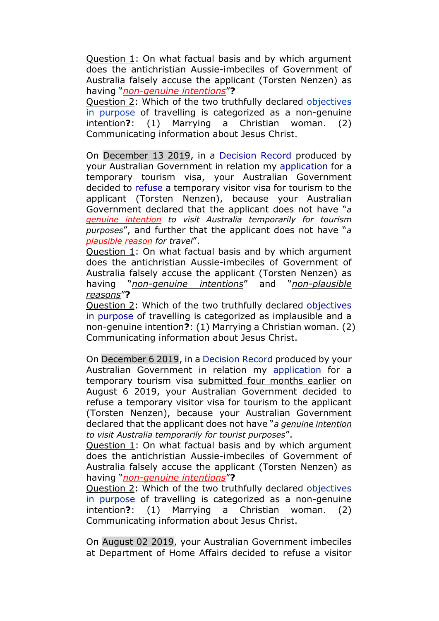Question 1: On what factual basis and by which argument does the antichristian Aussie-imbeciles of Government of Australia falsely accuse the applicant (Torsten Nenzen) as having "*non-genuine intentions*"**?**

Question 2: Which of the two truthfully declared [objectives](http://www.kyrkor.be/2020-01-22_Home-Affairs_TRAVEL-DECLARATION-for-violent-abusive-Aussieland.pdf)  [in purpose](http://www.kyrkor.be/2020-01-22_Home-Affairs_TRAVEL-DECLARATION-for-violent-abusive-Aussieland.pdf) of travelling is categorized as a non-genuine intention**?**: (1) Marrying a Christian woman. (2) Communicating information about Jesus Christ.

On December 13 2019, in a [Decision Record](http://www.kyrkor.be/Decision-Record_191213.pdf) produced by your Australian Government in relation my [application](http://www.kyrkor.be/2019-12-06_Application.pdf) for a temporary tourism visa, your Australian Government decided to [refuse](http://www.kyrkor.be/Refusal-Notification_191213.pdf) a temporary visitor visa for tourism to the applicant (Torsten Nenzen), because your Australian Government declared that the applicant does not have "*a genuine intention to visit Australia temporarily for tourism purposes*", and further that the applicant does not have "*a plausible reason for travel*".

Question 1: On what factual basis and by which argument does the antichristian Aussie-imbeciles of Government of Australia falsely accuse the applicant (Torsten Nenzen) as having "*non-genuine intentions*" and "*non-plausible reasons*"**?**

Question 2: Which of the two truthfully declared [objectives](http://www.kyrkor.be/2019-12-09_Australia-Gov_Home-Affairs_travel-declaration_violent-abusive-Aussieland.pdf)  [in purpose](http://www.kyrkor.be/2019-12-09_Australia-Gov_Home-Affairs_travel-declaration_violent-abusive-Aussieland.pdf) of travelling is categorized as implausible and a non-genuine intention**?**: (1) Marrying a Christian woman. (2) Communicating information about Jesus Christ.

On December 6 2019, in a [Decision Record](http://www.kyrkor.be/Decision-Record_191206.pdf) produced by your Australian Government in relation my [application](http://www.kyrkor.be/190806_Visa_Application.pdf) for a temporary tourism visa submitted four months earlier on August 6 2019, your Australian Government decided to refuse a temporary visitor visa for tourism to the applicant (Torsten Nenzen), because your Australian Government declared that the applicant does not have "*a genuine intention to visit Australia temporarily for tourist purposes*".

Question 1: On what factual basis and by which argument does the antichristian Aussie-imbeciles of Government of Australia falsely accuse the applicant (Torsten Nenzen) as having "*non-genuine intentions*"**?**

Question 2: Which of the two truthfully declared [objectives](http://www.kyrkor.be/191008_Aussie-Home-Affairs_TN-declared-purpose-of-travel_Visa-application-190806.pdf)  [in purpose](http://www.kyrkor.be/191008_Aussie-Home-Affairs_TN-declared-purpose-of-travel_Visa-application-190806.pdf) of travelling is categorized as a non-genuine intention**?**: (1) Marrying a Christian woman. (2) Communicating information about Jesus Christ.

On August 02 2019, your Australian Government imbeciles at Department of Home Affairs decided to refuse a visitor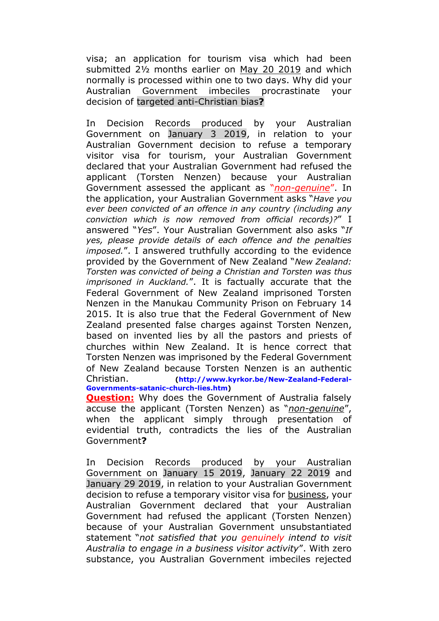visa; an application for tourism visa which had been submitted 2½ months earlier on May 20 2019 and which normally is processed within one to two days. Why did your Australian Government imbeciles procrastinate your decision of targeted anti-Christian bias**?**

In Decision Records produced by your Australian Government on January 3 2019, in relation to your Australian Government decision to refuse a temporary visitor visa for tourism, your Australian Government declared that your Australian Government had refused the applicant (Torsten Nenzen) because your Australian Government assessed the applicant as "*non-genuine*". In the application, your Australian Government asks "*Have you ever been convicted of an offence in any country (including any conviction which is now removed from official records)?*" I answered "*Yes*". Your Australian Government also asks "*If yes, please provide details of each offence and the penalties imposed.*". I answered truthfully according to the evidence provided by the Government of New Zealand "*New Zealand: Torsten was convicted of being a Christian and Torsten was thus imprisoned in Auckland.*". It is factually accurate that the Federal Government of New Zealand imprisoned Torsten Nenzen in the Manukau Community Prison on February 14 2015. It is also true that the Federal Government of New Zealand presented false charges against Torsten Nenzen, based on invented lies by all the pastors and priests of churches within New Zealand. It is hence correct that Torsten Nenzen was imprisoned by the Federal Government of New Zealand because Torsten Nenzen is an authentic Christian. **[\(http://www.kyrkor.be/New-Zealand-Federal-](http://www.kyrkor.be/New-Zealand-Federal-Governments-satanic-church-lies.htm)[Governments-satanic-church-lies.htm\)](http://www.kyrkor.be/New-Zealand-Federal-Governments-satanic-church-lies.htm)**

**Question:** Why does the Government of Australia falsely accuse the applicant (Torsten Nenzen) as "*non-genuine*", when the applicant simply through presentation of evidential truth, contradicts the lies of the Australian Government**?**

In Decision Records produced by your Australian Government on January 15 2019, January 22 2019 and January 29 2019, in relation to your Australian Government decision to refuse a temporary visitor visa for business, your Australian Government declared that your Australian Government had refused the applicant (Torsten Nenzen) because of your Australian Government unsubstantiated statement "*not satisfied that you genuinely intend to visit Australia to engage in a business visitor activity*". With zero substance, you Australian Government imbeciles rejected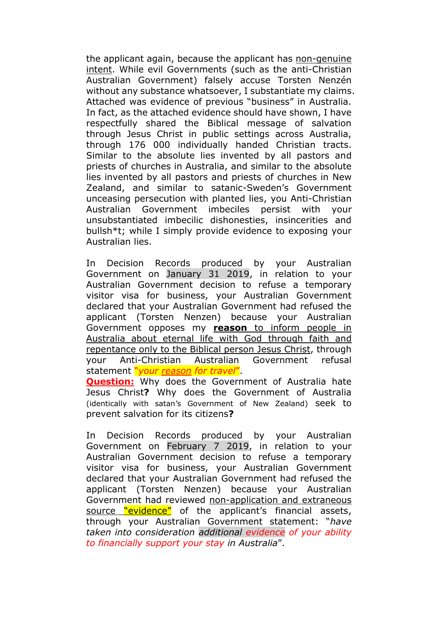the applicant again, because the applicant has non-genuine intent. While evil Governments (such as the anti-Christian Australian Government) falsely accuse Torsten Nenzén without any substance whatsoever, I substantiate my claims. Attached was evidence of previous "business" in Australia. In fact, as the attached evidence should have shown, I have respectfully shared the Biblical message of salvation through Jesus Christ in public settings across Australia, through 176 000 individually handed Christian tracts. Similar to the absolute lies invented by all pastors and priests of churches in Australia, and similar to the absolute lies invented by all pastors and priests of churches in New Zealand, and similar to satanic-Sweden's Government unceasing persecution with planted lies, you Anti-Christian Australian Government imbeciles persist with your unsubstantiated imbecilic dishonesties, insincerities and bullsh\*t; while I simply provide evidence to exposing your Australian lies.

In Decision Records produced by your Australian Government on January 31 2019, in relation to your Australian Government decision to refuse a temporary visitor visa for business, your Australian Government declared that your Australian Government had refused the applicant (Torsten Nenzen) because your Australian Government opposes my **reason** to inform people in Australia about eternal life with God through faith and repentance only to the Biblical person Jesus Christ, through your Anti-Christian Australian Government refusal statement "*your reason for travel*".

**Question:** Why does the Government of Australia hate Jesus Christ**?** Why does the Government of Australia (identically with satan's Government of New Zealand) seek to prevent salvation for its citizens**?**

In Decision Records produced by your Australian Government on February 7 2019, in relation to your Australian Government decision to refuse a temporary visitor visa for business, your Australian Government declared that your Australian Government had refused the applicant (Torsten Nenzen) because your Australian Government had reviewed non-application and extraneous source "evidence" of the applicant's financial assets, through your Australian Government statement: "*have taken into consideration additional evidence of your ability to financially support your stay in Australia*".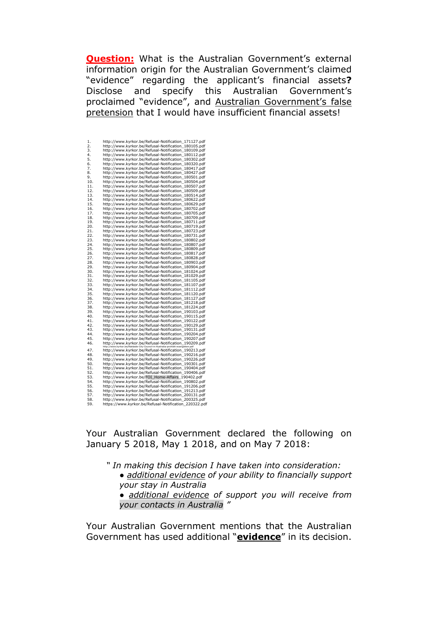**Question:** What is the Australian Government's external information origin for the Australian Government's claimed "evidence" regarding the applicant's financial assets**?** Disclose and specify this Australian Government's proclaimed "evidence", and Australian Government's false pretension that I would have insufficient financial assets!

| 1.  | http://www.kyrkor.be/Refusal-Notification 171127.pdf                            |
|-----|---------------------------------------------------------------------------------|
| 2.  | http://www.kyrkor.be/Refusal-Notification 180105.pdf                            |
| 3.  | http://www.kyrkor.be/Refusal-Notification_180109.pdf                            |
| 4.  | http://www.kyrkor.be/Refusal-Notification_180112.pdf                            |
| 5.  | http://www.kyrkor.be/Refusal-Notification_180302.pdf                            |
| 6.  | http://www.kyrkor.be/Refusal-Notification_180320.pdf                            |
| 7.  | http://www.kyrkor.be/Refusal-Notification_180417.pdf                            |
| 8.  |                                                                                 |
| 9.  | http://www.kyrkor.be/Refusal-Notification_180427.pdf                            |
|     | http://www.kyrkor.be/Refusal-Notification_180501.pdf                            |
| 10. | http://www.kyrkor.be/Refusal-Notification_180504.pdf                            |
| 11. | http://www.kyrkor.be/Refusal-Notification 180507.pdf                            |
| 12. | http://www.kyrkor.be/Refusal-Notification 180509.pdf                            |
| 13. | http://www.kyrkor.be/Refusal-Notification_180514.pdf                            |
| 14. | http://www.kyrkor.be/Refusal-Notification_180622.pdf                            |
| 15. | http://www.kyrkor.be/Refusal-Notification 180629.pdf                            |
| 16. | http://www.kyrkor.be/Refusal-Notification_180702.pdf                            |
| 17. | http://www.kyrkor.be/Refusal-Notification_180705.pdf                            |
| 18. | http://www.kyrkor.be/Refusal-Notification_180709.pdf                            |
| 19. |                                                                                 |
|     | http://www.kyrkor.be/Refusal-Notification_180711.pdf                            |
| 20. | http://www.kyrkor.be/Refusal-Notification_180719.pdf                            |
| 21. | http://www.kyrkor.be/Refusal-Notification_180723.pdf                            |
| 22. | http://www.kyrkor.be/Refusal-Notification_180731.pdf                            |
| 23. | http://www.kyrkor.be/Refusal-Notification_180802.pdf                            |
| 24. | http://www.kyrkor.be/Refusal-Notification_180807.pdf                            |
| 25. | http://www.kyrkor.be/Refusal-Notification_180809.pdf                            |
| 26. | http://www.kyrkor.be/Refusal-Notification 180817.pdf                            |
| 27. | http://www.kyrkor.be/Refusal-Notification_180828.pdf                            |
| 28. | http://www.kyrkor.be/Refusal-Notification_180903.pdf                            |
| 29. | http://www.kyrkor.be/Refusal-Notification 180904.pdf                            |
| 30. | http://www.kyrkor.be/Refusal-Notification 181024.pdf                            |
|     |                                                                                 |
| 31. | http://www.kyrkor.be/Refusal-Notification_181029.pdf                            |
| 32. | http://www.kyrkor.be/Refusal-Notification_181105.pdf                            |
| 33. | http://www.kyrkor.be/Refusal-Notification_181107.pdf                            |
| 34. | http://www.kyrkor.be/Refusal-Notification_181112.pdf                            |
| 35. | http://www.kyrkor.be/Refusal-Notification_181120.pdf                            |
| 36. | http://www.kyrkor.be/Refusal-Notification_181127.pdf                            |
| 37. | http://www.kyrkor.be/Refusal-Notification_181218.pdf                            |
| 38. | http://www.kyrkor.be/Refusal-Notification_181224.pdf                            |
| 39. | http://www.kyrkor.be/Refusal-Notification 190103.pdf                            |
| 40. | http://www.kyrkor.be/Refusal-Notification 190115.pdf                            |
| 41. | http://www.kyrkor.be/Refusal-Notification_190122.pdf                            |
| 42. | http://www.kyrkor.be/Refusal-Notification_190129.pdf                            |
|     |                                                                                 |
| 43. | http://www.kyrkor.be/Refusal-Notification 190131.pdf                            |
| 44. | http://www.kyrkor.be/Refusal-Notification 190204.pdf                            |
| 45. | http://www.kyrkor.be/Refusal-Notification_190207.pdf                            |
| 46. | http://www.kyrkor.be/Refusal-Notification 190209.pdf                            |
|     | http://www.kyrkor.be/Adelaide-City-Council-in-Australia-prohibit-evangelism.pdf |
| 47. | http://www.kyrkor.be/Refusal-Notification_190213.pdf                            |
| 48. | http://www.kyrkor.be/Refusal-Notification_190216.pdf                            |
| 49. | http://www.kyrkor.be/Refusal-Notification 190226.pdf                            |
| 50. | http://www.kyrkor.be/Refusal-Notification_190301.pdf                            |
| 51. | http://www.kyrkor.be/Refusal-Notification_190404.pdf                            |
| 52. | http://www.kyrkor.be/Refusal-Notification_190406.pdf                            |
| 53. | http://www.kyrkor.be/FOI Home-Affairs 190402.pdf                                |
| 54. | http://www.kyrkor.be/Refusal-Notification_190802.pdf                            |
| 55. | http://www.kyrkor.be/Refusal-Notification 191206.pdf                            |
| 56. | http://www.kyrkor.be/Refusal-Notification_191213.pdf                            |
| 57. | http://www.kyrkor.be/Refusal-Notification_200131.pdf                            |
| 58. | http://www.kyrkor.be/Refusal-Notification 200325.pdf                            |
|     |                                                                                 |
| 59. | https://www.kyrkor.be/Refusal-Notification 220322.pdf                           |

Your Australian Government declared the following on January 5 2018, May 1 2018, and on May 7 2018:

*" In making this decision I have taken into consideration: ● additional evidence of your ability to financially support your stay in Australia ● additional evidence of support you will receive from your contacts in Australia "* 

Your Australian Government mentions that the Australian Government has used additional "**evidence**" in its decision.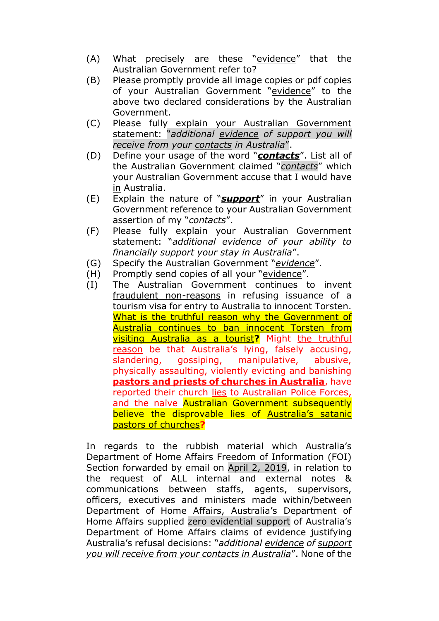- (A) What precisely are these "evidence" that the Australian Government refer to?
- (B) Please promptly provide all image copies or pdf copies of your Australian Government "evidence" to the above two declared considerations by the Australian Government.
- (C) Please fully explain your Australian Government statement: "*additional evidence of support you will receive from your contacts in Australia*".
- (D) Define your usage of the word "*contacts*". List all of the Australian Government claimed "*contacts*" which your Australian Government accuse that I would have in Australia.
- (E) Explain the nature of "*support*" in your Australian Government reference to your Australian Government assertion of my "*contacts*".
- (F) Please fully explain your Australian Government statement: "*additional evidence of your ability to financially support your stay in Australia*".
- (G) Specify the Australian Government "*evidence*".
- (H) Promptly send copies of all your "evidence".
- (I) The Australian Government continues to invent fraudulent non-reasons in refusing issuance of a tourism visa for entry to Australia to innocent Torsten. What is the truthful reason why the Government of Australia continues to ban innocent Torsten from visiting Australia as a tourist**?** Might the truthful reason be that Australia's lying, falsely accusing, slandering, gossiping, manipulative, abusive, physically assaulting, violently evicting and banishing **pastors and priests of churches in Australia**, have reported their church lies to Australian Police Forces, and the naïve Australian Government subsequently believe the disprovable lies of Australia's satanic pastors of churches**?**

In regards to the rubbish material which Australia's Department of Home Affairs Freedom of Information (FOI) Section forwarded by email on April 2, 2019, in relation to the request of ALL internal and external notes & communications between staffs, agents, supervisors, officers, executives and ministers made within/between Department of Home Affairs, Australia's Department of Home Affairs supplied zero evidential support of Australia's Department of Home Affairs claims of evidence justifying Australia's refusal decisions: "*additional evidence of support you will receive from your contacts in Australia*". None of the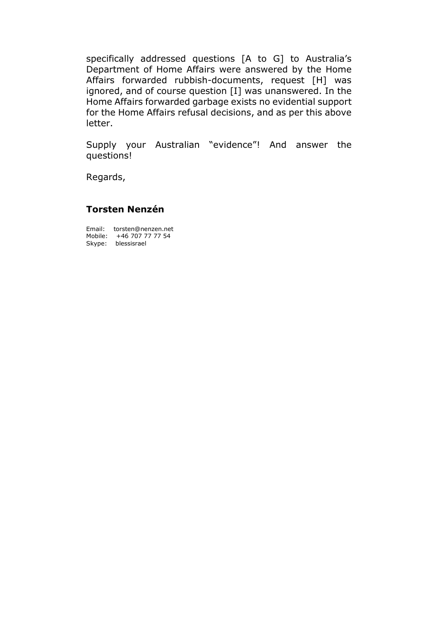specifically addressed questions [A to G] to Australia's Department of Home Affairs were answered by the Home Affairs forwarded rubbish-documents, request [H] was ignored, and of course question [I] was unanswered. In the Home Affairs forwarded garbage exists no evidential support for the Home Affairs refusal decisions, and as per this above letter.

Supply your Australian "evidence"! And answer the questions!

Regards,

## **Torsten Nenzén**

Email: torsten@nenzen.net Mobile: +46 707 77 77 54 Skype: blessisrael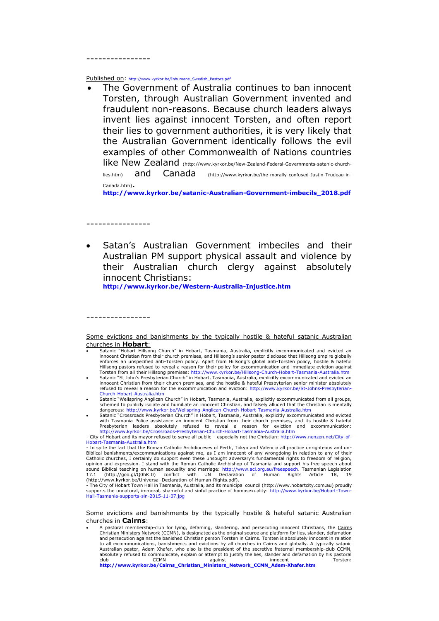----------------

Published on: [http://www.kyrkor.be/Inhumane\\_Swedish\\_Pastors.pdf](http://www.kyrkor.be/Inhumane_Swedish_Pastors.pdf)

• The Government of Australia continues to ban innocent Torsten, through Australian Government invented and fraudulent non-reasons. Because church leaders always invent lies against innocent Torsten, and often report their lies to government authorities, it is very likely that the Australian Government identically follows the evil examples of other Commonwealth of Nations countries like New Zealand [\(http://www.kyrkor.be/New-Zealand-Federal-Governments-satanic-church](http://www.kyrkor.be/New-Zealand-Federal-Governments-satanic-church-lies.htm)[lies.htm\)](http://www.kyrkor.be/New-Zealand-Federal-Governments-satanic-church-lies.htm) and Canada [\(http://www.kyrkor.be/the-morally-confused-Justin-Trudeau-in-](http://www.kyrkor.be/the-morally-confused-Justin-Trudeau-in-Canada.htm)[Canada.htm\)](http://www.kyrkor.be/the-morally-confused-Justin-Trudeau-in-Canada.htm).

**[http://www.kyrkor.be/satanic-Australian-Government-imbecils\\_2018.pdf](http://www.kyrkor.be/satanic-Australian-Government-imbecils_2018.pdf)**

----------------

----------------

• Satan's Australian Government imbeciles and their Australian PM support physical assault and violence by their Australian church clergy against absolutely innocent Christians:

**<http://www.kyrkor.be/Western-Australia-Injustice.htm>**

- Satanic "Hobart Hillsong Church" in Hobart, Tasmania, Australia, explicitly excommunicated and evicted an innocent Christian from their church premises, and Hillsong's senior pastor disclosed that Hillsong empire globally enforces an unspecified anti-Torsten policy. Apart from Hillsong's global anti-Torsten policy, hostile & hateful<br>Hillsong pastors refused to reveal a reason for their policy for excommunication and immediate eviction again
- Torsten from all their Hillsong premises:<http://www.kyrkor.be/Hillsong-Church-Hobart-Tasmania-Australia.htm><br>Satanic "St John's Presbyterian Church" in Hobart, Tasmania, Australia, explicitly excommunicated and evicted an<br> refused to reveal a reason for the excommunication and eviction[: http://www.kyrkor.be/St-Johns-Presbyterian-](http://www.kyrkor.be/St-Johns-Presbyterian-Church-Hobart-Australia.htm)[Church-Hobart-Australia.htm](http://www.kyrkor.be/St-Johns-Presbyterian-Church-Hobart-Australia.htm)
- Satanic "Wellspring Anglican Church" in Hobart, Tasmania, Australia, explicitly excommunicated from all groups, schemed to publicly isolate and humiliate an innocent Christian, and falsely alluded that the Christian is mentally
- dangerous[: http://www.kyrkor.be/Wellspring-Anglican-Church-Hobart-Tasmania-Australia.htm](http://www.kyrkor.be/Wellspring-Anglican-Church-Hobart-Tasmania-Australia.htm) Satanic "Crossroads Presbyterian Church" in Hobart, Tasmania, Australia, explicitly excommunicated and evicted with Tasmania Police assistance an innocent Christian from their church premises, and its hostile & hateful<br>Presbyterian leaders absolutely refused to reveal a reason for eviction and excommunication:<br>http://www.kyrkor.be/

- The City of Hobart Town Hall in Tasmania, Australia, and its municipal council [\(http://www.hobartcity.com.au\)](http://www.hobartcity.com.au/) proudly<br>supports the unnatural, immoral, shameful and sinful practice of homosexuality: http://www.kyrkor.be/H

A pastoral membership-club for lying, defaming, slandering, and persecuting innocent Christians, the Cairns Christian Ministers Network (CCMN), is designated as the original source and platform for lies, slander, defamation<br>and persecution against the banished Christian person Torsten in Cairns. Torsten is absolutely innocent in to all excommunications, banishments and evictions by all churches in Cairns and globally. A typically satanic Australian pastor, Adem Xhafer, who also is the president of the secretive fraternal membership-club CCMN, absolutely refused to communicate, explain or attempt to justify the lies, slander and defamation by his pastoral<br>club against and an analytic process absolutely refused to communicate, explain or attempt to justify the li club CCMN against innocent Torsten: **[http://www.kyrkor.be/Cairns\\_Christian\\_Ministers\\_Network\\_CCMN\\_Adem-Xhafer.htm](http://www.kyrkor.be/Cairns_Christian_Ministers_Network_CCMN_Adem-Xhafer.htm)**

Some evictions and banishments by the typically hostile & hateful satanic Australian churches in **Hobart**:

<sup>-</sup> City of Hobart and its mayor refused to serve all public – especially not the Christian[: http://www.nenzen.net/City-of-](http://www.nenzen.net/City-of-Hobart-Tasmania-Australia.htm)[Hobart-Tasmania-Australia.htm](http://www.nenzen.net/City-of-Hobart-Tasmania-Australia.htm)

<sup>-</sup> In spite the fact that the Roman Catholic Archdioceses of Perth, Tokyo and Valencia all practice unrighteous and un-Biblical banishments/excommunications against me, as I am innocent of any wrongdoing in relation to any of their Catholic churches, I certainly do support even these unsought adversary's fundamental rights to freedom of religion, opinion and expression. I stand with the Roman Catholic Archbishop of Tasmania and support his free speech about sound Biblical teaching on human sexuality and marriage: [http://www.acl.org.au/freespeech.](http://www.acl.org.au/freespeech) Tasmanian Legislation<br>17.1 [\(http://goo.gl/Q0hKI0\)](http://goo.gl/Q0hKI0) conflict with UN Declaration of Human Rights Article 18, 19 [\(http://www.kyrkor.be/Universal-Declaration-of-Human-Rights.pdf\)](http://www.kyrkor.be/Universal-Declaration-of-Human-Rights.pdf).

Some evictions and banishments by the typically hostile & hateful satanic Australian churches in **Cairns**: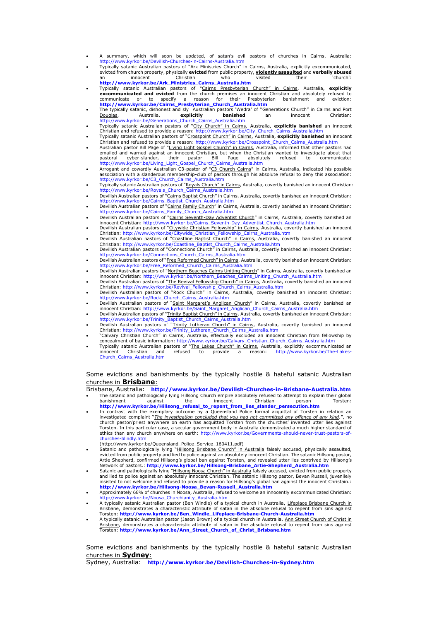- A summary, which will soon be updated, of satan's evil pastors of churches in Cairns, Australia:
- <http://www.kyrkor.be/Devilish-Churches-in-Cairns-Australia.htm><br>Typically satanic Australian pastors of "Ark Ministries Church" in Cairns, Australia, explicitly excommunicated,<br>evicted from church property, physically evict
- an innocent Christian who visited their 'church':<br> **[http://www.kyrkor.be/Ark\\_Ministries\\_Cairns\\_Australia.htm](http://www.kyrkor.be/Ark_Ministries_Cairns_Australia.htm)**<br> **•** Typically satanic Australian pastors of "Cairns Presbyterian Church" in Cairns, Australia, explicitly<br>  **E** communicate or to specify a reason for their Presbyterian banishment and eviction:<br>**[http://www.kyrkor.be/Cairns\\_Presbyterian\\_Church\\_Australia.htm](http://www.kyrkor.be/Cairns_Presbyterian_Church_Australia.htm)**<br>The typically satanic, dishonest\_and\_sly\_Australian\_pastors\_'Wedra'\_of\_"<u>Ge</u>
- Douglas, Australia, **explicitly banished** an innocent Christian: [http://www.kyrkor.be/Generations\\_Church\\_Cairns\\_Australia.htm](http://www.kyrkor.be/Generations_Church_Cairns_Australia.htm)
- Typically satanic Australian pastors of "City Church" in Cairns, Australia, **explicitly banished** an innocent Christian and refused to provide a reason[: http://www.kyrkor.be/City\\_Church\\_Cairns\\_Australia.htm](http://www.kyrkor.be/City_Church_Cairns_Australia.htm) • Typically satanic Australian pastors of "Crosspoint Church" in Cairns, Australia, **explicitly banished** an innocent
- Christian and refused to provide a reason[: http://www.kyrkor.be/Crosspoint\\_Church\\_Cairns\\_Australia.htm](http://www.kyrkor.be/Crosspoint_Church_Cairns_Australia.htm) Australian pastor Bill Page of "Living Light Gospel Church" in Cairns, Australia, informed that other pastors had
- emailed and warned against an innocent Christian, but when the Christian wanted to investigate about that<br>pastoral cyber-slander, their pastor Bill Page absolutely refused to communicate:<br>http://www.kyrkor.be/Living\_Light\_
- [http://www.kyrkor.be/C3\\_Church\\_Cairns\\_Australia.htm](http://www.kyrkor.be/C3_Church_Cairns_Australia.htm)
- Typically satanic Australian pastors of "Royals Church" in Cairns, Australia, covertly banished an innocent Christian: [http://www.kyrkor.be/Royals\\_Church\\_Cairns\\_Australia.htm](http://www.kyrkor.be/Royals_Church_Cairns_Australia.htm)
- Devilish Australian pastors of "Cairns Baptist Church" in Cairns, Australia, covertly banished an innocent Christian: [http://www.kyrkor.be/Cairns\\_Baptist\\_Church\\_Australia.htm](http://www.kyrkor.be/Cairns_Baptist_Church_Australia.htm)
- Devilish Australian pastors of "Cairns Family Church" in Cairns, Australia, covertly banished an innocent Christian: [http://www.kyrkor.be/Cairns\\_Family\\_Church\\_Australia.htm](http://www.kyrkor.be/Cairns_Family_Church_Australia.htm) • Devilish Australian pastors of "Cairns Seventh-Day Adventist Church" in Cairns, Australia, covertly banished an
- innocent Christian[: http://www.kyrkor.be/Cairns\\_Seventh-Day\\_Adventist\\_Church\\_Australia.htm](http://www.kyrkor.be/Cairns_Seventh-Day_Adventist_Church_Australia.htm) Devilish Australian pastors of "Citywide Christian Fellowship" in Cairns, Australia, covertly banished an innocent
- Christian[: http://www.kyrkor.be/Citywide\\_Christian\\_Fellowship\\_Cairns\\_Australia.htm](http://www.kyrkor.be/Citywide_Christian_Fellowship_Cairns_Australia.htm) Devilish Australian pastors of "Coastline Baptist Church" in Cairns, Australia, covertly banished an innocent
- Christian[: http://www.kyrkor.be/Coastline\\_Baptist\\_Church\\_Cairns\\_Australia.htm](http://www.kyrkor.be/Coastline_Baptist_Church_Cairns_Australia.htm)<br>Devilish Australian pastors of "<u>Connections Church" in Cairns</u>, Australia, covertly banished an innocent Christian:<br>http://www.kyrkor.be/Connec
- Devilish Australian pastors of "Free Reformed Church" in Cairns, Australia, covertly banished an innocent Christian:
- [http://www.kyrkor.be/Free\\_Reformed\\_Church\\_Cairns\\_Australia.htm](http://www.kyrkor.be/Free_Reformed_Church_Cairns_Australia.htm)<br>• Devilish Australian pastors of "<u>Northern Beaches Cairns Uniting Church</u>" in Cairns, Australia, covertly banished an
- innocent Christian[: http://www.kyrkor.be/Northern\\_Beaches\\_Cairns\\_Uniting\\_Church\\_Australia.htm](http://www.kyrkor.be/Northern_Beaches_Cairns_Uniting_Church_Australia.htm) Devilish Australian pastors of "The Revival Fellowship Church" in Cairns, Australia, covertly banished an innocent
- Christian[: http://www.kyrkor.be/Revival\\_Fellowship\\_Church\\_Cairns\\_Australia.htm](http://www.kyrkor.be/Revival_Fellowship_Church_Cairns_Australia.htm) Devilish Australian pastors of "Rock Church" in Cairns, Australia, covertly banished an innocent Christian: [http://www.kyrkor.be/Rock\\_Church\\_Cairns\\_Australia.htm](http://www.kyrkor.be/Rock_Church_Cairns_Australia.htm)
- Devilish Australian pastors of "<u>Saint Margaret's Anglican Church</u>" in Cairns, Australia, covertly banished an<br>innocent Christian[: http://www.kyrkor.be/Saint\\_Margaret\\_Anglican\\_Church\\_Cairns\\_Australia.htm](http://www.kyrkor.be/Saint_Margaret_Anglican_Church_Cairns_Australia.htm)<br>Devilish Australia
- [http://www.kyrkor.be/Trinity\\_Baptist\\_Church\\_Cairns\\_Australia.htm](http://www.kyrkor.be/Trinity_Baptist_Church_Cairns_Australia.htm)
- Devilish Australian pastors of "Trinity Lutheran Church" in Cairns, Australia, covertly banished an innocent<br>Christian[: http://www.kyrkor.be/Trinity\\_Lutheran\\_Church\\_Cairns\\_Australia.htm](http://www.kyrkor.be/Trinity_Lutheran_Church_Cairns_Australia.htm)
- "Calvary Christian Church" in Cairns, Australia, effectually excluded an innocent Christian from fellowship by concealment of basic information: [http://www.kyrkor.be/Calvary\\_Christian\\_Church\\_Cairns\\_Australia.htm](http://www.kyrkor.be/Calvary_Christian_Church_Cairns_Australia.htm)<br>• Typically satanic Australian pastors of "The Lakes Church" in Cairns, Australia, explicitly excommunicated an
- innocent Christian and refused to provide a reason: [http://www.kyrkor.be/The-Lakes-](http://www.kyrkor.be/The-Lakes-Church_Cairns_Australia.htm)[Church\\_Cairns\\_Australia.htm](http://www.kyrkor.be/The-Lakes-Church_Cairns_Australia.htm)

## Some evictions and banishments by the typically hostile & hateful satanic Australian churches in **Brisbane**:

Brisbane, Australia: **<http://www.kyrkor.be/Devilish-Churches-in-Brisbane-Australia.htm>**

- Fine satanic and pathologically lying Hillsong Church empire absolutely refused to attempt to explain their global<br>banishment against the empire absolutely refused to attempt to explain their global<br>Christian person Torste banishment against the innocent Christian person Torsten:<br> **[http://www.kyrkor.be/Hillsong\\_refusal\\_to\\_repent\\_from\\_lies\\_slander\\_persecution.htm](http://www.kyrkor.be/Hillsong_refusal_to_repent_from_lies_slander_persecution.htm)**
- In contrast with the exemplary outcome by a Queensland Police formal acquittal of Torsten in relation an investigated complaint "*<u>The investigation concluded that you had not committed any offence of any kind</u>.", no<br>church pastor/priest anywhere on earth has acquitted Torsten from the churches' invented utter lies against* Torsten. In this particular case, a secular government body in Australia demonstrated a much higher standard of ethics than any church anywhere on earth: [http://www.kyrkor.be/Governments-should-never-trust-pastors-of](http://www.kyrkor.be/Governments-should-never-trust-pastors-of-churches-blindly.htm)[churches-blindly.htm](http://www.kyrkor.be/Governments-should-never-trust-pastors-of-churches-blindly.htm)
- 
- [\(http://www.kyrkor.be/Queensland\\_Police\\_Service\\_160411.pdf\)](http://www.kyrkor.be/Queensland_Police_Service_160411.pdf) • Satanic and pathologically lying "Hillsong Brisbane Church" in Australia falsely accused, physically assaulted, evicted from public property and lied to police against an absolutely innocent Christian. The satanic Hillsong pastor,<br>Artie Shepherd, confirmed Hillsong's global ban against Torsten, and revealed utter lies contrived by H
- Satanic and pathologically lying "Hillsong Noosa Church" in Australia falsely accused, evicted from public property and lied to police against an absolutely innocent Christian. The satanic Hillsong pastor, Bevan Russell, juvenilely<br>insisted to not welcome and refused to provide a reason for Hillsong's global ban against the innocent Chr **[http://www.kyrkor.be/Hillsong-Noosa\\_Bevan-Russell\\_Australia.htm](http://www.kyrkor.be/Hillsong-Noosa_Bevan-Russell_Australia.htm)**
- Approximately 66% of churches in Noosa, Australia, refused to welcome an innocently excommunicated Christian:
- [http://www.kyrkor.be/Noosa\\_Churchianity\\_Australia.htm](http://www.kyrkor.be/Noosa_Churchianity_Australia.htm) A typically satanic Australian pastor (Ben Windle) of a typical church in Australia, Lifeplace Brisbane Church in Brisbane, demonstrates a characteristic attribute of satan in the absolute refusal to repent from sins against
- Torsten: **[http://www.kyrkor.be/Ben\\_Windle\\_Lifeplace-Brisbane-Church-Australia.htm](http://www.kyrkor.be/Ben_Windle_Lifeplace-Brisbane-Church-Australia.htm)** A typically satanic Australian pastor (Jason Brown) of a typical church in Australia, Ann Street Church of Christ in <u>Brisbane</u>, demonstrates a characteristic attribute of satan in the absolute refusal to repent from sins against<br>Torsten: **[http://www.kyrkor.be/Ann\\_Street\\_Church\\_of\\_Christ\\_Brisbane.htm](http://www.kyrkor.be/Ann_Street_Church_of_Christ_Brisbane.htm)**

## Some evictions and banishments by the typically hostile & hateful satanic Australian churches in **Sydney**:

Sydney, Australia: **<http://www.kyrkor.be/Devilish-Churches-in-Sydney.htm>**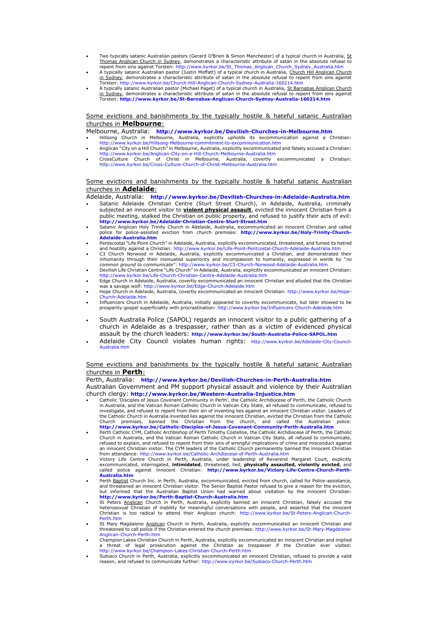- Two typically satanic Australian pastors (Gerard O'Brien & Simon Manchester) of a typical church in Australia, St Thomas Anglican Church in Sydney, demonstrates a characteristic attribute of satan in the absolute refusal to
- repent from sins against Torsten[: http://www.kyrkor.be/St\\_Thomas\\_Anglican\\_Church\\_Sydney\\_Australia.htm](http://www.kyrkor.be/St_Thomas_Anglican_Church_Sydney_Australia.htm) A typically satanic Australian pastor (Justin Moffatt) of a typical church in Australia, Church Hill Anglican Church in Sydney, demonstrates a characteristic attribute of satan in the absolute refusal to repent from sins against Torsten[: http://www.kyrkor.be/Church-Hill-Anglican-Church-Sydney-Australia-160214.htm](http://www.kyrkor.be/Church-Hill-Anglican-Church-Sydney-Australia-160214.htm)
- A typically satanic Australian pastor (Michael Paget) of a typical church in Australia, St Barnabas Anglican Church<br><u>in Sydney</u>, demonstrates a characteristic attribute of satan in the absolute refusal to repent from sins Torsten: **<http://www.kyrkor.be/St-Barnabas-Anglican-Church-Sydney-Australia-160214.htm>**

## Some evictions and banishments by the typically hostile & hateful satanic Australian churches in **Melbourne**:

Melbourne, Australia: **<http://www.kyrkor.be/Devilish-Churches-in-Melbourne.htm>**

- Hillsong Church in Melbourne, Australia, explicitly upholds its excommunication against a Christian: <http://www.kyrkor.be/Hillsong-Melbourne-commitment-to-excommunication.htm> • Anglican "City on a Hill Church" in Melbourne, Australia, explicitly excommunicated and falsely accused a Christian:
- <http://www.kyrkor.be/Anglican-City-on-a-Hill-Church-Melbourne-Australia.htm>
- CrossCulture Church of Christ in Melbourne, Australia, covertly excommunicated a Christian: <http://www.kyrkor.be/Cross-Culture-Church-of-Christ-Melbourne-Australia.htm>

## Some evictions and banishments by the typically hostile & hateful satanic Australian churches in **Adelaide**:

- Adelaide, Australia: **<http://www.kyrkor.be/Devilish-Churches-in-Adelaide-Australia.htm>** • Satanic Adelaide Christian Centre (Sturt Street Church), in Adelaide, Australia, criminally subjected an innocent visitor to **violent physical assault**, evicted the innocent Christian from a public meeting, stalked the Christian on public property, and refused to justify their acts of evil: **<http://www.kyrkor.be/Adelaide-Christian-Centre-Sturt-Street.htm>**
- Satanic Anglican Holy Trinity Church in Adelaide, Australia, excommunicated an innocent Christian and called police for police-assisted eviction from church premises: **[http://www.kyrkor.be/Holy-Trinity-Church-](http://www.kyrkor.be/Holy-Trinity-Church-Adelaide-Australia.htm)[Adelaide-Australia.htm](http://www.kyrkor.be/Holy-Trinity-Church-Adelaide-Australia.htm)**
- Pentecostal "Life Point Church" in Adelaide, Australia, explicitly excommunicated, threatened, and fumed its hatred and hostility against a Christian[: http://www.kyrkor.be/Life-Point-Pentcostal-Church-Adelaide-Australia.htm](http://www.kyrkor.be/Life-Point-Pentcostal-Church-Adelaide-Australia.htm)
- C3 Church Norwood in Adelaide, Australia, explicitly excommunicated a Christian, and demonstrated their inhumanity through their insinuated superiority and incompassion to humanity, expressed in words by "*no common ground to communicate*": <http://www.kyrkor.be/C3-Church-Norwood-Adelaide-Australia.htm>
- Devilish Life Christian Centre "Life Church" in Adelaide, Australia, explicitly excommunicated an innocent Christian: <http://www.kyrkor.be/Life-Church-Christian-Centre-Adelaide-Australia.htm> • Edge Church in Adelaide, Australia, covertly excommunicated an innocent Christian and alluded that the Christian
- was a savage wolf:<http://www.kyrkor.be/Edge-Church-Adelaide.htm> • Hope Church in Adelaide, Australia, covertly excommunicated an innocent Christian: [http://www.kyrkor.be/Hope-](http://www.kyrkor.be/Hope-Church-Adelaide.htm)
- [Church-Adelaide.htm](http://www.kyrkor.be/Hope-Church-Adelaide.htm) • Influencers Church in Adelaide, Australia, initially appeared to covertly excommunicate, but later showed to be prosperity-gospel superficiality with procrastination:<http://www.kyrkor.be/Influencers-Church-Adelaide.htm>
- South Australia Police (SAPOL) regards an innocent visitor to a public gathering of a church in Adelaide as a trespasser, rather than as a victim of evidenced physical assault by the church leaders: **<http://www.kyrkor.be/South-Australia-Police-SAPOL.htm>**
- Adelaide City Council violates human rights: [http://www.kyrkor.be/Adelaide-City-Council-](http://www.kyrkor.be/Adelaide-City-Council-Australia.htm)[Australia.htm](http://www.kyrkor.be/Adelaide-City-Council-Australia.htm)

## Some evictions and banishments by the typically hostile & hateful satanic Australian churches in **Perth**:

Perth, Australia: **<http://www.kyrkor.be/Devilish-Churches-in-Perth-Australia.htm>**

Australian Government and PM support physical assault and violence by their Australian church clergy: **<http://www.kyrkor.be/Western-Australia-Injustice.htm>**

- Catholic 'Disciples of Jesus Covenant Community in Perth', the Catholic Archdiocese of Perth, the Catholic Church in Australia, and the Vatican Roman Catholic Church in Vatican City State, all refused to communicate, refused to investigate, and refused to repent from their sin of inventing lies against an innocent Christian visitor. Leaders of<br>the Catholic Church in Australia invented lies against the innocent Christian, evicted the Christian fro Church premises, banned the Christian from the church, and called the Australian police: **<http://www.kyrkor.be/Catholic-Disciples-of-Jesus-Covenant-Community-Perth-Australia.htm>**
- Perth Catholic CYM, Catholic Archbishop of Perth Timothy Costelloe, the Catholic Archdiocese of Perth, the Catholic Church in Australia, and the Vatican Roman Catholic Church in Vatican City State, all refused to communicate, refused to explain, and refused to repent from their sins of wrongful implications of crime and misconduct against an innocent Christian visitor. The CYM leaders of the Catholic Church permanently banned the innocent Christian<br>from attendance[: http://www.kyrkor.be/Catholic-Archdiocese-of-Perth-Australia.htm](http://www.kyrkor.be/Catholic-Archdiocese-of-Perth-Australia.htm)<br>Victory Life Centre Church i
- excommunicated, interrogated, **intimidated**, threatened, lied, **physically assaulted, violently evicted**, and<br>called police against innocent Christian: [http://www.kyrkor.be/Victory-Life-Centre-Church-Perth-](http://www.kyrkor.be/Victory-Life-Centre-Church-Perth-Australia.htm)**[Australia.htm](http://www.kyrkor.be/Victory-Life-Centre-Church-Perth-Australia.htm)**
- Perth <u>Baptist</u> Church Inc. in Perth, Australia, excommunicated, evicted from church, called for Police-assistance,<br>and threatened an innocent Christian visitor. The Senior Baptist Pastor refused to give a reason for the e **<http://www.kyrkor.be/Perth-Baptist-Church-Australia.htm>**
- St Peters Anglican Church in Perth, Australia, explicitly banned an innocent Christian, falsely accused the heterosexual Christian of inability for meaningful conversations with people, and asserted that the innocent Christian is too radical to attend their Anglican church: [http://www.kyrkor.be/St-Peters-Anglican-Church](http://www.kyrkor.be/St-Peters-Anglican-Church-Perth.htm)erth.htm
- St Mary Magdalene Anglican Church in Perth, Australia, explicitly excommunicated an innocent Christian and threatened to call police if the Christian entered the church premises[: http://www.kyrkor.be/St-Mary-Magdalene-](http://www.kyrkor.be/St-Mary-Magdalene-Anglican-Church-Perth.htm)[Anglican-Church-Perth.htm](http://www.kyrkor.be/St-Mary-Magdalene-Anglican-Church-Perth.htm)
- Champion Lakes Christian Church in Perth, Australia, explicitly excommunicated an innocent Christian and implied<br>a threat of legal prosecution against the Christian as trespasser if the Christian ever visited:<br>http://www
- Subiaco Church in Perth, Australia, explicitly excommunicated an innocent Christian, refused to provide a valid reason, and refused to communicate further[: http://www.kyrkor.be/Subiaco-Church-Perth.htm](http://www.kyrkor.be/Subiaco-Church-Perth.htm)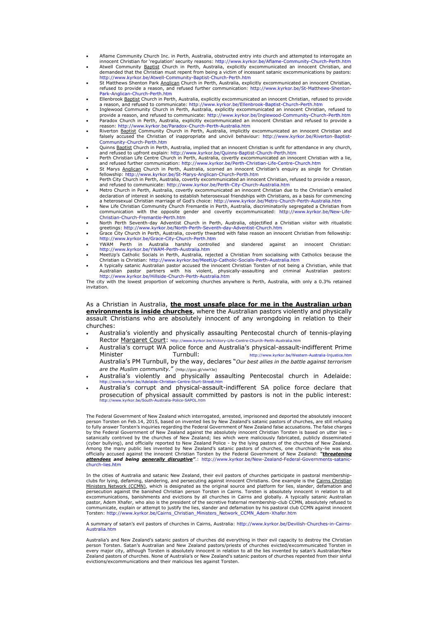- Aflame Community Church Inc. in Perth, Australia, obstructed entry into church and attempted to interrogate an
- innocent Christian for 'regulation' security reasons: <http://www.kyrkor.be/Aflame-Community-Church-Perth.htm><br>Atwell Community Baptist Church in Perth, Australia, explicitly excommunicated an innocent Christian, and<br>demande <http://www.kyrkor.be/Atwell-Community-Baptist-Church-Perth.htm>
- St Matthews Shenton Park Anglican Church in Perth, Australia, explicitly excommunicated an innocent Christian, refused to provide a reason, and refused further communication: [http://www.kyrkor.be/St-Matthews-Shenton-](http://www.kyrkor.be/St-Matthews-Shenton-Park-Anglican-Church-Perth.htm)[Park-Anglican-Church-Perth.htm](http://www.kyrkor.be/St-Matthews-Shenton-Park-Anglican-Church-Perth.htm)
- Ellenbrook Baptist Church in Perth, Australia, explicitly excommunicated an innocent Christian, refused to provide a reason, and refused to communicate[: http://www.kyrkor.be/Ellenbrook-Baptist-Church-Perth.htm](http://www.kyrkor.be/Ellenbrook-Baptist-Church-Perth.htm) • Inglewood Community Church in Perth, Australia, explicitly excommunicated an innocent Christian, refused to
- provide a reason, and refused to communicate:<http://www.kyrkor.be/Inglewood-Community-Church-Perth.htm> • Paradox Church in Perth, Australia, explicitly excommunicated an innocent Christian and refused to provide a
- 
- reason[: http://www.kyrkor.be/Paradox-Church-Perth-Australia.htm](http://www.kyrkor.be/Paradox-Church-Perth-Australia.htm)<br>• Riverton <u>Baptist</u> Community Church in Perth, Australia, implicitly excommunicated an innocent Christian and falsely accused the Christian of inappropriate and uncivil behaviour: [http://www.kyrkor.be/Riverton-Baptist-](http://www.kyrkor.be/Riverton-Baptist-Community-Church-Perth.htm)[Community-Church-Perth.htm](http://www.kyrkor.be/Riverton-Baptist-Community-Church-Perth.htm)
- Quinns Baptist Church in Perth, Australia, implied that an innocent Christian is unfit for attendance in any church, and refused to upfront explain[: http://www.kyrkor.be/Quinns-Baptist-Church-Perth.htm](http://www.kyrkor.be/Quinns-Baptist-Church-Perth.htm) • Perth Christian Life Centre Church in Perth, Australia, covertly excommunicated an innocent Christian with a lie,
- and refused further communication[: http://www.kyrkor.be/Perth-Christian-Life-Centre-Church.htm](http://www.kyrkor.be/Perth-Christian-Life-Centre-Church.htm)
- St Marys Anglican Church in Perth, Australia, scorned an innocent Christian's enquiry as single for Christian fellowship[: http://www.kyrkor.be/St-Marys-Anglican-Church-Perth.htm](http://www.kyrkor.be/St-Marys-Anglican-Church-Perth.htm)
- Perth City Church in Perth, Australia, covertly excommunicated an innocent Christian, refused to provide a reason, and refused to communicate[: http://www.kyrkor.be/Perth-City-Church-Australia.htm](http://www.kyrkor.be/Perth-City-Church-Australia.htm)<br>• Metro Church in Perth, Australia, covertly excommunicated an innocent Christian due to the Christian's emailed
- declaration of interest in seeking to establish heterosexual friendships with Christians, as a basis for commencing<br>a heterosexual Christian marriage of God's choice: <http://www.kyrkor.be/Metro-Church-Perth-Australia.htm>
- New Life Christian Community Church Fremantle in Perth, Australia, discriminatorily segregated a Christian from communication with the opposite gender and covertly excommunicated: [http://www.kyrkor.be/New-Life-](http://www.kyrkor.be/New-Life-Christian-Church-Fremantle-Perth.htm)[Christian-Church-Fremantle-Perth.htm](http://www.kyrkor.be/New-Life-Christian-Church-Fremantle-Perth.htm)
- North Perth Seventh-day Adventist Church in Perth, Australia, objectified a Christian visitor with ritualistic greetings:<http://www.kyrkor.be/North-Perth-Seventh-day-Adventist-Church.htm>
- Grace City Church in Perth, Australia, covertly thwarted with false reason an innocent Christian from fellowship: <http://www.kyrkor.be/Grace-City-Church-Perth.htm>
- YWAM Perth in Australia harshly controlled and slandered against an innocent Christian: <http://www.kyrkor.be/YWAM-Perth-Australia.htm> • MeetUp's Catholic Socials in Perth, Australia, rejected a Christian from socialising with Catholics because the
- 
- Christian is Christian[: http://www.kyrkor.be/MeetUp-Catholic-Socials-Perth-Australia.htm](http://www.kyrkor.be/MeetUp-Catholic-Socials-Perth-Australia.htm)<br>A typically satanic Australian pastor accused the innocent Christian Torsten of not being a Christian, while that<br>Australian pastor p

The city with the lowest proportion of welcoming churches anywhere is Perth, Australia, with only a 0.3% retained invitation.

As a Christian in Australia, **the most unsafe place for me in the Australian urban environments is inside churches**, where the Australian pastors violently and physically assault Christians who are absolutely innocent of any wrongdoing in relation to their churches:

- Australia's violently and physically assaulting Pentecostal church of tennis-playing Rector Margaret Court: <http://www.kyrkor.be/Victory-Life-Centre-Church-Perth-Australia.htm>
- Australia's corrupt WA police force and Australia's physical-assault-indifferent Prime Minister Turnbull: <http://www.kyrkor.be/Western-Australia-Injustice.htm> Australia's PM Turnbull, by the way, declares "*Our best allies in the battle against terrorism are the Muslim community.*" [\(http://goo.gl/viwYJe\)](http://goo.gl/viwYJe)
- Australia's violently and physically assaulting Pentecostal church in Adelaide:
- <http://www.kyrkor.be/Adelaide-Christian-Centre-Sturt-Street.htm> Australia's corrupt and physical-assault-indifferent SA police force declare that prosecution of physical assault committed by pastors is not in the public interest: <http://www.kyrkor.be/South-Australia-Police-SAPOL.htm>

The Federal Government of New Zealand which interrogated, arrested, imprisoned and deported the absolutely innocent person Torsten on Feb.14, 2015, based on invented lies by New Zealand's satanic pastors of churches, are still refusing<br>to fully answer Torsten's inquiries regarding the Federal Government of New Zealand false accusations. by the Federal Government of New Zealand against the absolutely innocent Christian Torsten is based on utter lies – satanically contrived by the churches of New Zealand; lies which were maliciously fabricated, publicly disseminated<br>(cyber bullying), and officially reported to New Zealand Police - by the lying pastors of the churches of [church-lies.htm](http://www.kyrkor.be/New-Zealand-Federal-Governments-satanic-church-lies.htm)

In the cities of Australia and satanic New Zealand, their evil pastors of churches participate in pastoral membershipclubs for lying, defaming, slandering, and persecuting against innocent Christians. One example is the <u>Cairns Christian</u><br><u>Ministers Network (CCMN)</u>, which is designated as the original source and platform for lies, slande pastor, Adem Xhafer, who also is the president of the secretive fraternal membership-club CCMN, absolutely refused to<br>communicate, explain or attempt to justify the lies, slander and defamation by his pastoral club CCMN ag Torsten[: http://www.kyrkor.be/Cairns\\_Christian\\_Ministers\\_Network\\_CCMN\\_Adem-Xhafer.htm](http://www.kyrkor.be/Cairns_Christian_Ministers_Network_CCMN_Adem-Xhafer.htm)

A summary of satan's evil pastors of churches in Cairns, Australia: [http://www.kyrkor.be/Devilish-Churches-in-Cairns-](http://www.kyrkor.be/Devilish-Churches-in-Cairns-Australia.htm)[Australia.htm](http://www.kyrkor.be/Devilish-Churches-in-Cairns-Australia.htm)

Australia's and New Zealand's satanic pastors of churches did everything in their evil capacity to destroy the Christian<br>person Torsten. Satan's Australian and New Zealand pastors/priests of churches evicted/excommunicated every major city, although Torsten is absolutely innocent in relation to all the lies invented by satan's Australian/New Zealand pastors of churches. None of Australia's or New Zealand's satanic pastors of churches repented from their sinful evictions/excommunications and their malicious lies against Torsten.